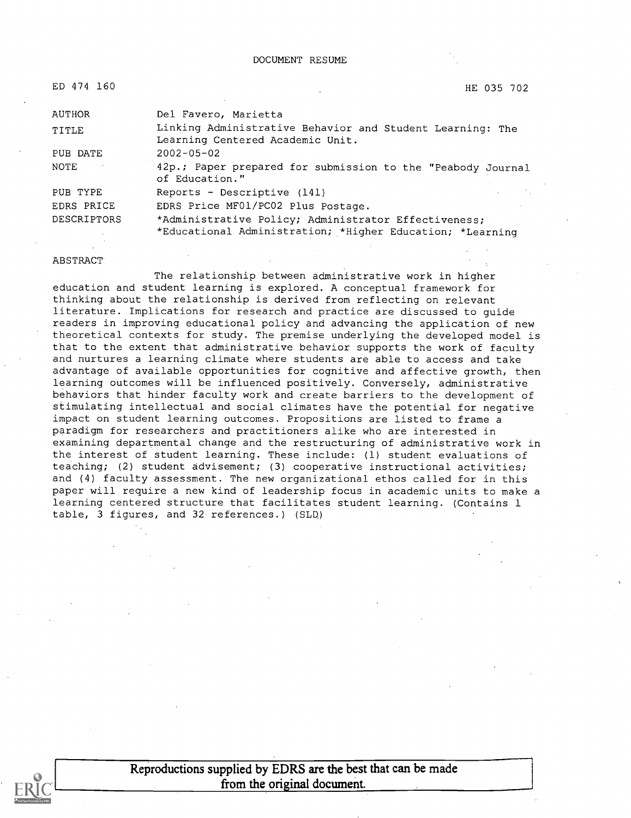| ED 474 160    | HE 035 702                                                                                                        |
|---------------|-------------------------------------------------------------------------------------------------------------------|
| <b>AUTHOR</b> | Del Favero, Marietta                                                                                              |
| TITLE         | Linking Administrative Behavior and Student Learning: The<br>Learning Centered Academic Unit.                     |
| PUB DATE      | $2002 - 05 - 02$                                                                                                  |
| NOTE          | 42p.; Paper prepared for submission to the "Peabody Journal<br>of Education."                                     |
| PUB TYPE      | Reports - Descriptive (141)                                                                                       |
| EDRS PRICE    | EDRS Price MF01/PC02 Plus Postage.                                                                                |
| DESCRIPTORS   | *Administrative Policy; Administrator Effectiveness;<br>*Educational Administration; *Higher Education; *Learning |

#### ABSTRACT

The relationship between administrative work in higher education and student learning is explored. A conceptual framework for thinking about the relationship is derived from reflecting on relevant literature. Implications for research and practice are discussed to guide readers in improving educational policy and advancing the application of new theoretical contexts for study. The premise underlying the developed model is that to the extent that administrative behavior supports the work of faculty and nurtures a learning climate where students are able to access and take advantage of available opportunities for cognitive and affective growth, then learning outcomes will be influenced positively. Conversely, administrative behaviors that hinder faculty work and create barriers to the development of stimulating intellectual and social climates have the potential for negative impact on student learning outcomes. Propositions are listed to frame a paradigm for researchers and practitioners alike who are interested in examining departmental change and the restructuring of administrative work in the interest of student learning. These include: (1) student evaluations of teaching; (2) student advisement; (3) cooperative instructional activities; and (4) faculty assessment. The new organizational ethos called for in this paper will require a new kind of leadership focus in academic units to make a learning centered structure that facilitates student learning. (Contains 1 table, 3 figures, and 32 references.) (SLQ)



Reproductions supplied by EDRS are the best that can be made from the original document.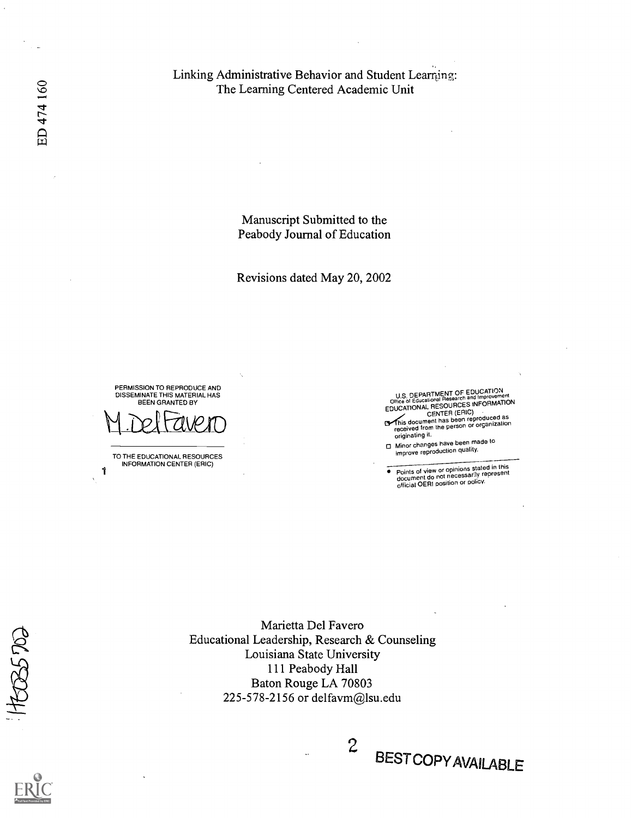Linking Administrative Behavior and Student Leaming: The Learning Centered Academic Unit

> Manuscript Submitted to the Peabody Journal of Education

Revisions dated May 20, 2002

U.S. DEPARTMENT OF EDUCALITY IN THE U.S. DEPARTMENT OF EDUCATION<br>Office of Educational Research and Improvement EDUCATIONAL RESOURCES INFORMATION<br>
CENTER (ERIC)<br>
This document has been reproduced as<br>
received from the person or organization<br>
originating it.

Minor changes have been made to improve reproduction quality.

Points of view or opinions stated in this document do not necessarily represent official DERI position or policy.  $\bullet$ 

BEST COPY AVAILABLE

Marietta Del Favero Educational Leadership, Research & Counseling Louisiana State University 111 Peabody Hall Baton Rouge LA 70803 225-578-2156 or delfavm@lsu.edu

 $2^{D}$ 

DISSEMINATE THIS MATERIAL HAS BEEN GRANTED BY TO THE EDUCATIONAL RESOURCES INFORMATION CENTER (ERIC)

1

ED 474 160

PERMISSION TO REPRODUCE AND

HEES5 DO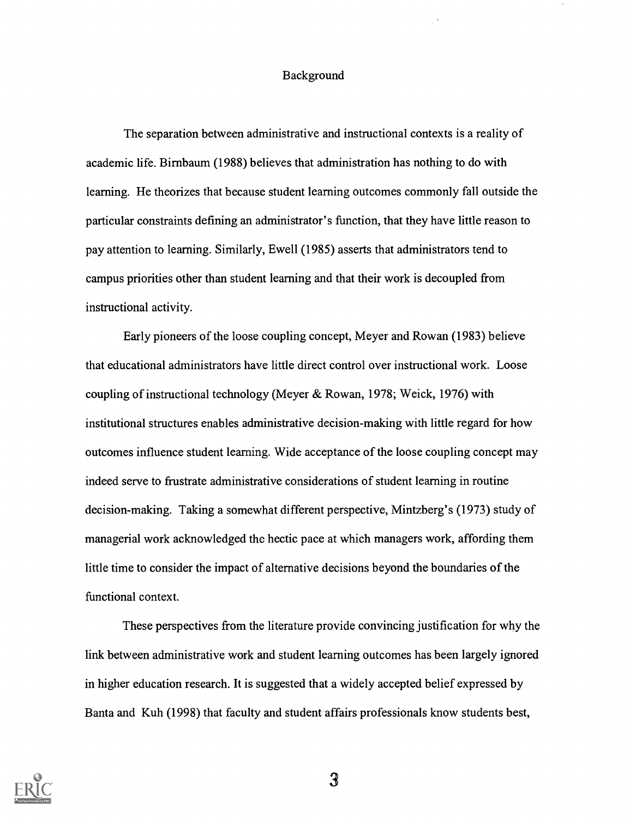## Background

The separation between administrative and instructional contexts is a reality of academic life. Birnbaum (1988) believes that administration has nothing to do with learning. He theorizes that because student learning outcomes commonly fall outside the particular constraints defining an administrator's function, that they have little reason to pay attention to learning. Similarly, Ewell (1985) asserts that administrators tend to campus priorities other than student learning and that their work is decoupled from instructional activity.

Early pioneers of the loose coupling concept, Meyer and Rowan (1983) believe that educational administrators have little direct control over instructional work. Loose coupling of instructional technology (Meyer & Rowan, 1978; Weick, 1976) with institutional structures enables administrative decision-making with little regard for how outcomes influence student learning. Wide acceptance of the loose coupling concept may indeed serve to frustrate administrative considerations of student learning in routine decision-making. Taking a somewhat different perspective, Mintzberg's (1973) study of managerial work acknowledged the hectic pace at which managers work, affording them little time to consider the impact of alternative decisions beyond the boundaries of the functional context.

These perspectives from the literature provide convincing justification for why the link between administrative work and student learning outcomes has been largely ignored in higher education research. It is suggested that a widely accepted belief expressed by Banta and Kuh (1998) that faculty and student affairs professionals know students best,

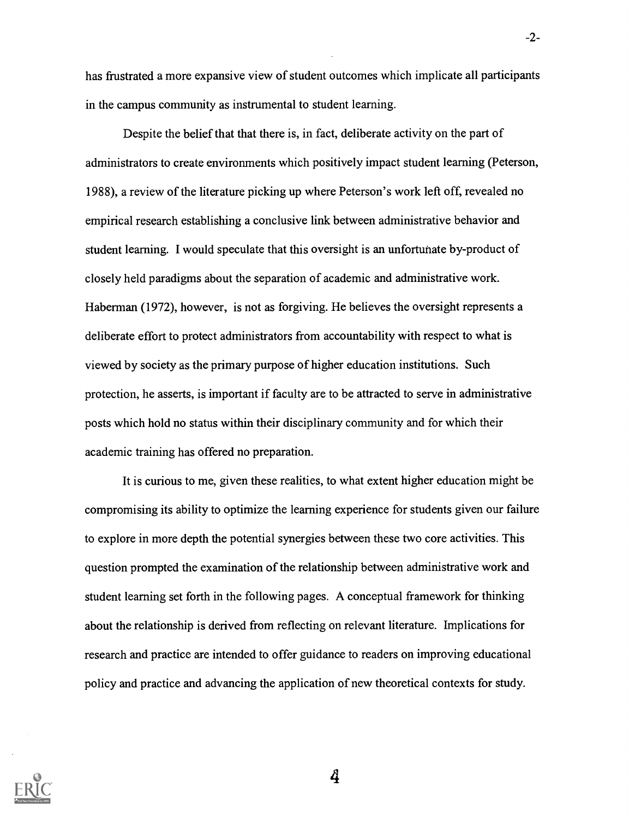has frustrated a more expansive view of student outcomes which implicate all participants in the campus community as instrumental to student learning.

-2-

Despite the belief that that there is, in fact, deliberate activity on the part of administrators to create environments which positively impact student learning (Peterson, 1988), a review of the literature picking up where Peterson's work left off, revealed no empirical research establishing a conclusive link between administrative behavior and student learning. I would speculate that this oversight is an unfortunate by-product of closely held paradigms about the separation of academic and administrative work. Haberman (1972), however, is not as forgiving. He believes the oversight represents a deliberate effort to protect administrators from accountability with respect to what is viewed by society as the primary purpose of higher education institutions. Such protection, he asserts, is important if faculty are to be attracted to serve in administrative posts which hold no status within their disciplinary community and for which their academic training has offered no preparation.

It is curious to me, given these realities, to what extent higher education might be compromising its ability to optimize the learning experience for students given our failure to explore in more depth the potential synergies between these two core activities. This question prompted the examination of the relationship between administrative work and student learning set forth in the following pages. A conceptual framework for thinking about the relationship is derived from reflecting on relevant literature. Implications for research and practice are intended to offer guidance to readers on improving educational policy and practice and advancing the application of new theoretical contexts for study.

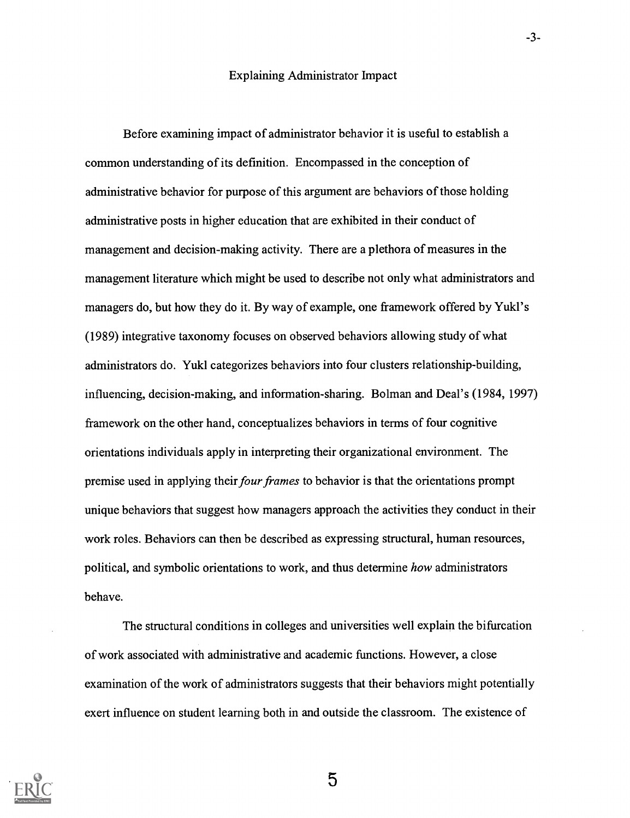Before examining impact of administrator behavior it is useful to establish a common understanding of its definition. Encompassed in the conception of administrative behavior for purpose of this argument are behaviors of those holding administrative posts in higher education that are exhibited in their conduct of management and decision-making activity. There are a plethora of measures in the management literature which might be used to describe not only what administrators and managers do, but how they do it. By way of example, one framework offered by Yukl's (1989) integrative taxonomy focuses on observed behaviors allowing study of what administrators do. Yukl categorizes behaviors into four clusters relationship-building, influencing, decision-making, and information-sharing. Bolman and Deal's (1984, 1997) framework on the other hand, conceptualizes behaviors in terms of four cognitive orientations individuals apply in interpreting their organizational environment. The premise used in applying their four frames to behavior is that the orientations prompt unique behaviors that suggest how managers approach the activities they conduct in their work roles. Behaviors can then be described as expressing structural, human resources, political, and symbolic orientations to work, and thus determine how administrators behave.

The structural conditions in colleges and universities well explain the bifurcation of work associated with administrative and academic functions. However, a close examination of the work of administrators suggests that their behaviors might potentially exert influence on student learning both in and outside the classroom. The existence of



5

-3-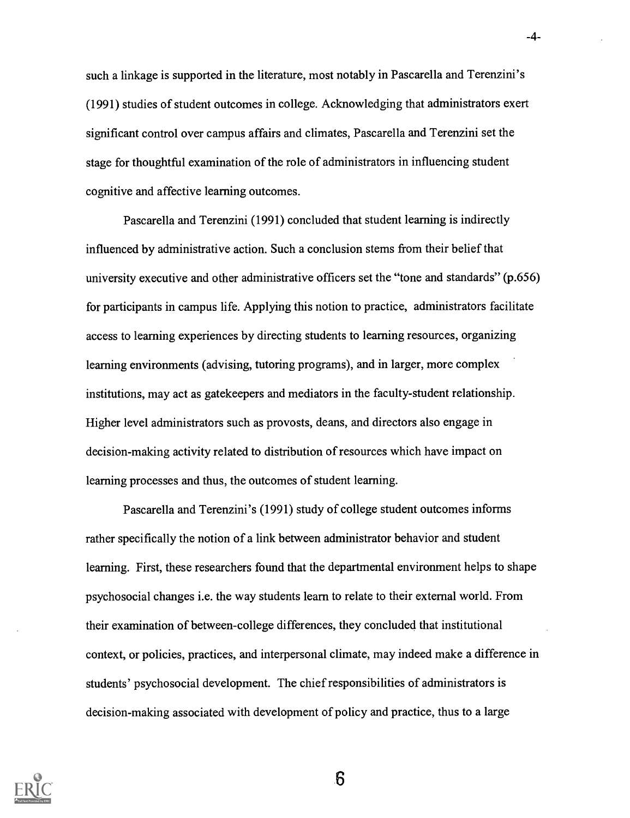such a linkage is supported in the literature, most notably in Pascarella and Terenzini's (1991) studies of student outcomes in college. Acknowledging that administrators exert significant control over campus affairs and climates, Pascarella and Terenzini set the stage for thoughtful examination of the role of administrators in influencing student cognitive and affective learning outcomes.

-4-

Pascarella and Terenzini (1991) concluded that student learning is indirectly influenced by administrative action. Such a conclusion stems from their belief that university executive and other administrative officers set the "tone and standards" (p.656) for participants in campus life. Applying this notion to practice, administrators facilitate access to learning experiences by directing students to learning resources, organizing learning environments (advising, tutoring programs), and in larger, more complex institutions, may act as gatekeepers and mediators in the faculty-student relationship. Higher level administrators such as provosts, deans, and directors also engage in decision-making activity related to distribution of resources which have impact on learning processes and thus, the outcomes of student learning.

Pascarella and Terenzini's (1991) study of college student outcomes informs rather specifically the notion of a link between administrator behavior and student learning. First, these researchers found that the departmental environment helps to shape psychosocial changes i.e. the way students learn to relate to their external world. From their examination of between-college differences, they concluded that institutional context, or policies, practices, and interpersonal climate, may indeed make a difference in students' psychosocial development. The chief responsibilities of administrators is decision-making associated with development of policy and practice, thus to a large



 $6\overline{6}$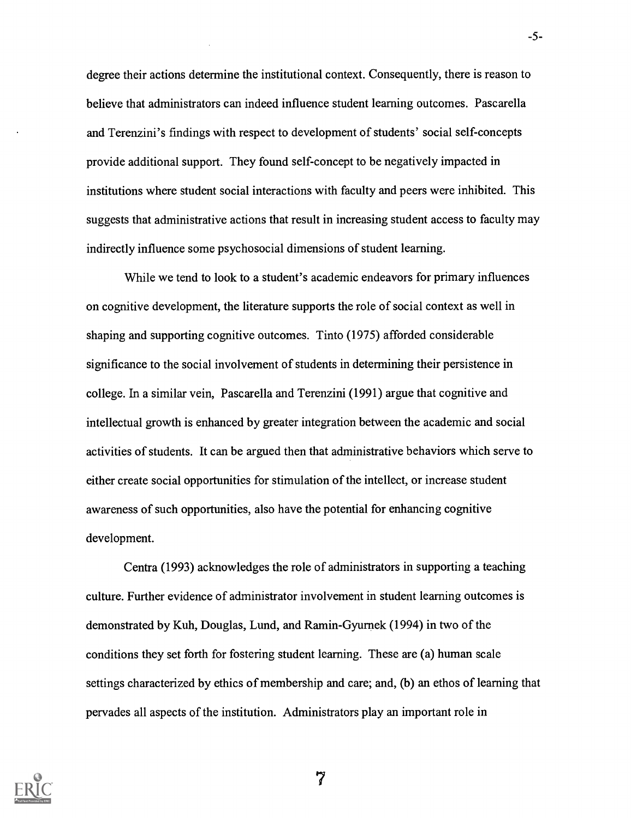degree their actions determine the institutional context. Consequently, there is reason to believe that administrators can indeed influence student learning outcomes. Pascarella and Terenzini's findings with respect to development of students' social self-concepts provide additional support. They found self-concept to be negatively impacted in institutions where student social interactions with faculty and peers were inhibited. This suggests that administrative actions that result in increasing student access to faculty may indirectly influence some psychosocial dimensions of student learning.

-5-

While we tend to look to a student's academic endeavors for primary influences on cognitive development, the literature supports the role of social context as well in shaping and supporting cognitive outcomes. Tinto (1975) afforded considerable significance to the social involvement of students in determining their persistence in college. In a similar vein, Pascarella and Terenzini (1991) argue that cognitive and intellectual growth is enhanced by greater integration between the academic and social activities of students. It can be argued then that administrative behaviors which serve to either create social opportunities for stimulation of the intellect, or increase student awareness of such opportunities, also have the potential for enhancing cognitive development.

Centra (1993) acknowledges the role of administrators in supporting a teaching culture. Further evidence of administrator involvement in student learning outcomes is demonstrated by Kuh, Douglas, Lund, and Ramin-Gyurnek (1994) in two of the conditions they set forth for fostering student learning. These are (a) human scale settings characterized by ethics of membership and care; and, (b) an ethos of learning that pervades all aspects of the institution. Administrators play an important role in

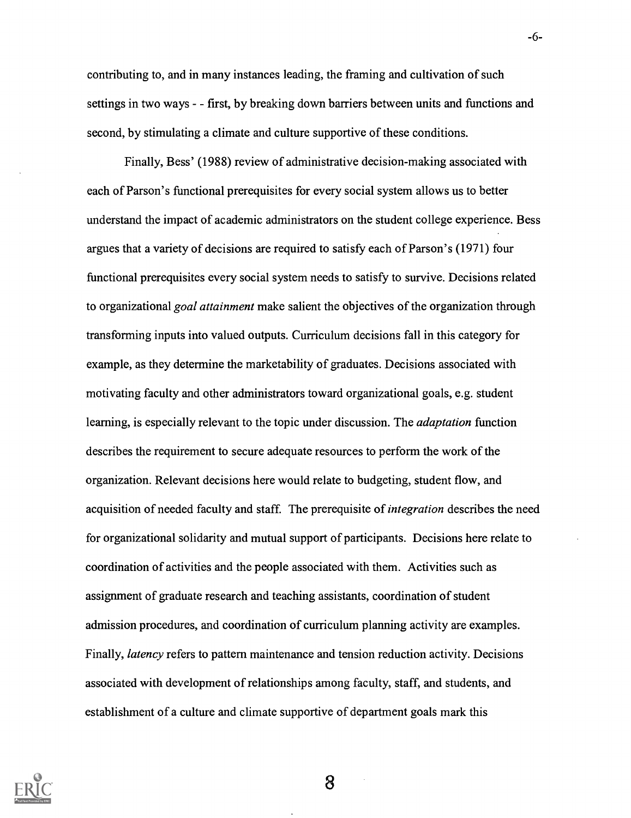contributing to, and in many instances leading, the framing and cultivation of such settings in two ways - - first, by breaking down barriers between units and functions and second, by stimulating a climate and culture supportive of these conditions.

-6-

Finally, Bess' (1988) review of administrative decision-making associated with each of Parson's functional prerequisites for every social system allows us to better understand the impact of academic administrators on the student college experience. Bess argues that a variety of decisions are required to satisfy each of Parson's (1971) four functional prerequisites every social system needs to satisfy to survive. Decisions related to organizational goal attainment make salient the objectives of the organization through transforming inputs into valued outputs. Curriculum decisions fall in this category for example, as they determine the marketability of graduates. Decisions associated with motivating faculty and other administrators toward organizational goals, e.g. student learning, is especially relevant to the topic under discussion. The *adaptation* function describes the requirement to secure adequate resources to perform the work of the organization. Relevant decisions here would relate to budgeting, student flow, and acquisition of needed faculty and staff. The prerequisite of integration describes the need for organizational solidarity and mutual support of participants. Decisions here relate to coordination of activities and the people associated with them. Activities such as assignment of graduate research and teaching assistants, coordination of student admission procedures, and coordination of curriculum planning activity are examples. Finally, latency refers to pattern maintenance and tension reduction activity. Decisions associated with development of relationships among faculty, staff, and students, and establishment of a culture and climate supportive of department goals mark this

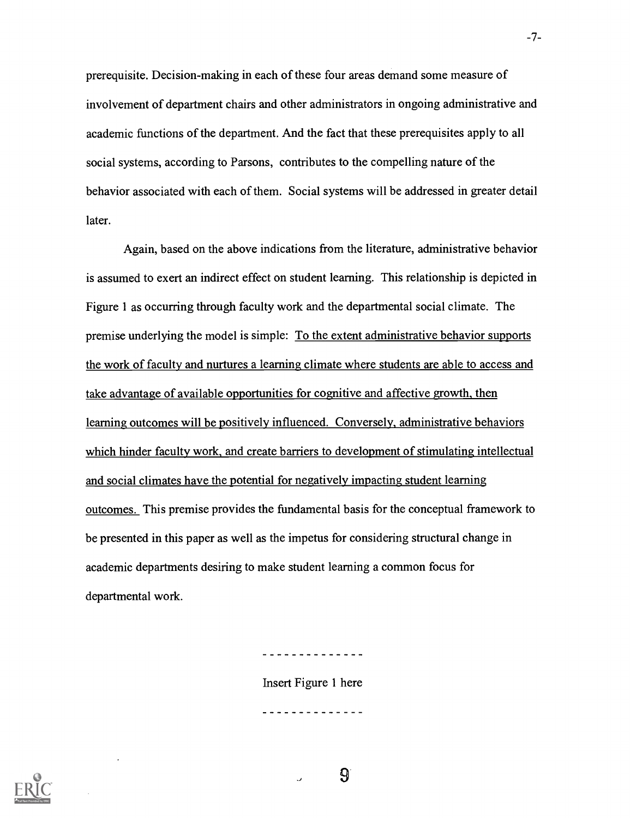prerequisite. Decision-making in each of these four areas demand some measure of involvement of department chairs and other administrators in ongoing administrative and academic functions of the department. And the fact that these prerequisites apply to all social systems, according to Parsons, contributes to the compelling nature of the behavior associated with each of them. Social systems will be addressed in greater detail later.

Again, based on the above indications from the literature, administrative behavior is assumed to exert an indirect effect on student learning. This relationship is depicted in Figure 1 as occurring through faculty work and the departmental social climate. The premise underlying the model is simple: To the extent administrative behavior supports the work of faculty and nurtures a learning climate where students are able to access and take advantage of available opportunities for cognitive and affective growth, then learning outcomes will be positively influenced. Conversely, administrative behaviors which hinder faculty work, and create barriers to development of stimulating intellectual and social climates have the potential for negatively impacting student learning outcomes. This premise provides the fundamental basis for the conceptual framework to be presented in this paper as well as the impetus for considering structural change in academic departments desiring to make student learning a common focus for departmental work.

<u>. . . . . . . . . . . . .</u>

Insert Figure 1 here



-7-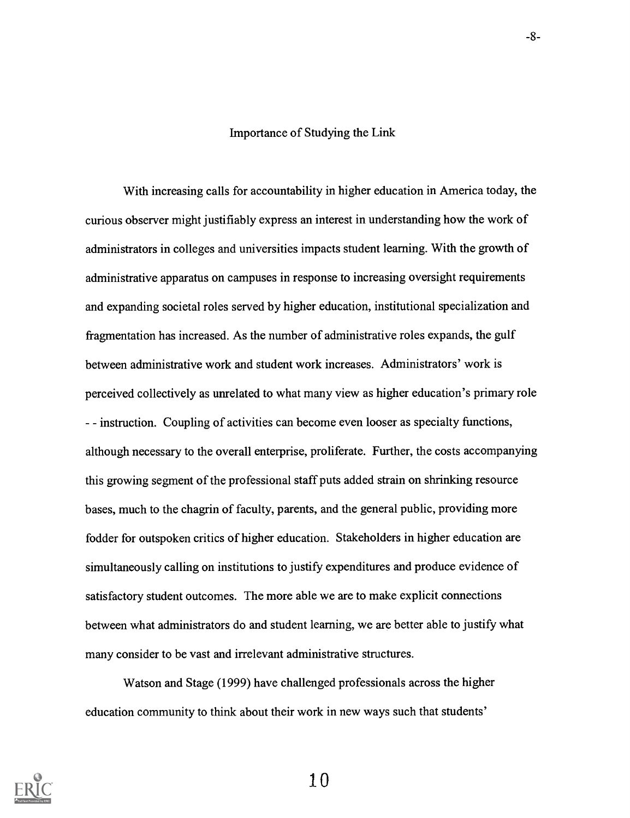#### Importance of Studying the Link

With increasing calls for accountability in higher education in America today, the curious observer might justifiably express an interest in understanding how the work of administrators in colleges and universities impacts student learning. With the growth of administrative apparatus on campuses in response to increasing oversight requirements and expanding societal roles served by higher education, institutional specialization and fragmentation has increased. As the number of administrative roles expands, the gulf between administrative work and student work increases. Administrators' work is perceived collectively as unrelated to what many view as higher education's primary role - - instruction. Coupling of activities can become even looser as specialty functions, although necessary to the overall enterprise, proliferate. Further, the costs accompanying this growing segment of the professional staff puts added strain on shrinking resource bases, much to the chagrin of faculty, parents, and the general public, providing more fodder for outspoken critics of higher education. Stakeholders in higher education are simultaneously calling on institutions to justify expenditures and produce evidence of satisfactory student outcomes. The more able we are to make explicit connections between what administrators do and student learning, we are better able to justify what many consider to be vast and irrelevant administrative structures.

Watson and Stage (1999) have challenged professionals across the higher education community to think about their work in new ways such that students'



10

 $-8-$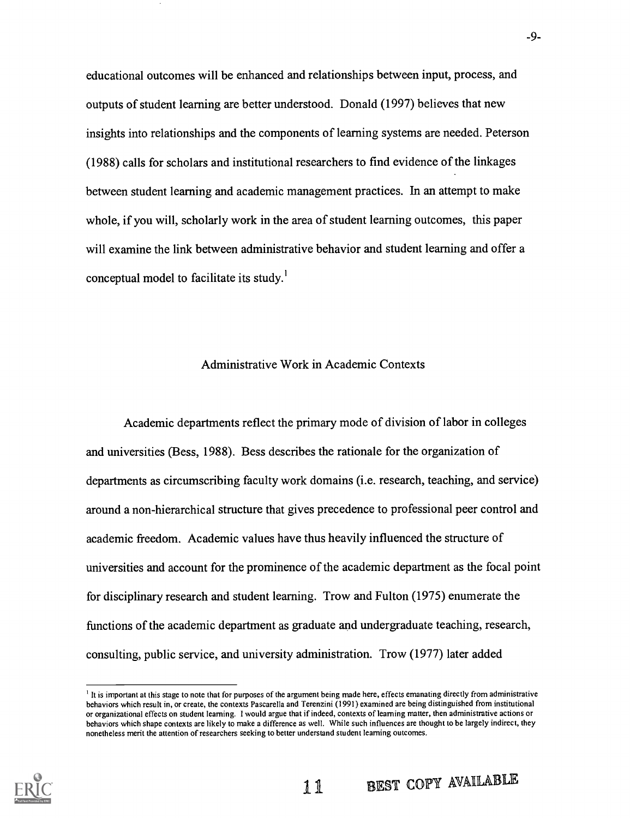educational outcomes will be enhanced and relationships between input, process, and outputs of student learning are better understood. Donald (1997) believes that new insights into relationships and the components of learning systems are needed. Peterson (1988) calls for scholars and institutional researchers to find evidence of the linkages between student learning and academic management practices. In an attempt to make whole, if you will, scholarly work in the area of student learning outcomes, this paper will examine the link between administrative behavior and student learning and offer a conceptual model to facilitate its study.'

## Administrative Work in Academic Contexts

Academic departments reflect the primary mode of division of labor in colleges and universities (Bess, 1988). Bess describes the rationale for the organization of departments as circumscribing faculty work domains (i.e. research, teaching, and service) around a non-hierarchical structure that gives precedence to professional peer control and academic freedom. Academic values have thus heavily influenced the structure of universities and account for the prominence of the academic department as the focal point for disciplinary research and student learning. Trow and Fulton (1975) enumerate the functions of the academic department as graduate and undergraduate teaching, research, consulting, public service, and university administration. Trow (1977) later added

11 BEST COPY AVAILABLE



<sup>&</sup>lt;sup>1</sup> It is important at this stage to note that for purposes of the argument being made here, effects emanating directly from administrative behaviors which result in, or create, the contexts Pascarella and Terenzini (1991) examined are being distinguished from institutional or organizational effects on student learning. I would argue that if indeed, contexts of learning matter, then administrative actions or behaviors which shape contexts are likely to make a difference as well. While such influences are thought to be largely indirect, they nonetheless merit the attention of researchers seeking to better understand student learning outcomes.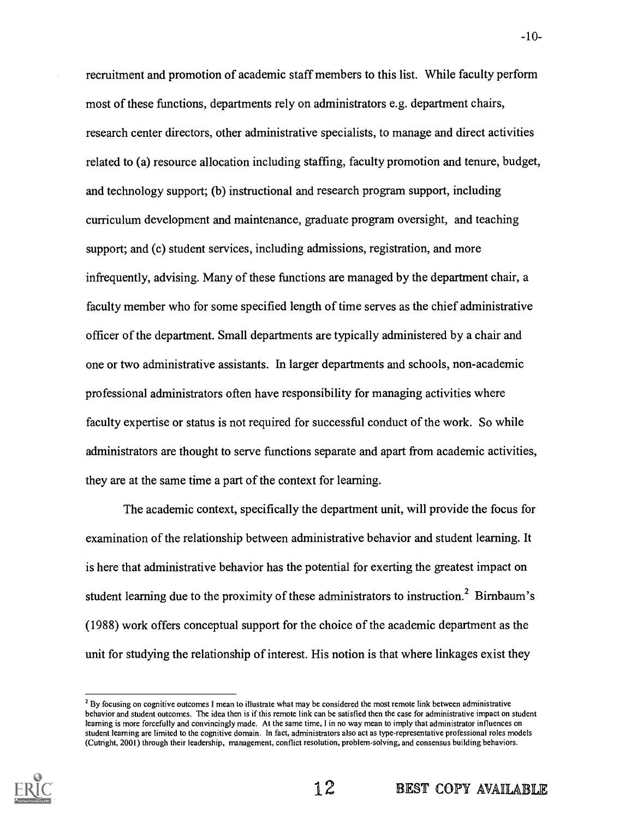recruitment and promotion of academic staff members to this list. While faculty perform most of these functions, departments rely on administrators e.g. department chairs, research center directors, other administrative specialists, to manage and direct activities related to (a) resource allocation including staffing, faculty promotion and tenure, budget, and technology support; (b) instructional and research program support, including curriculum development and maintenance, graduate program oversight, and teaching support; and (c) student services, including admissions, registration, and more infrequently, advising. Many of these functions are managed by the department chair, a faculty member who for some specified length of time serves as the chief administrative officer of the department. Small departments are typically administered by a chair and one or two administrative assistants. In larger departments and schools, non-academic professional administrators often have responsibility for managing activities where faculty expertise or status is not required for successful conduct of the work. So while administrators are thought to serve functions separate and apart from academic activities, they are at the same time a part of the context for learning.

The academic context, specifically the department unit, will provide the focus for examination of the relationship between administrative behavior and student learning. It is here that administrative behavior has the potential for exerting the greatest impact on student learning due to the proximity of these administrators to instruction.<sup>2</sup> Birnbaum's (1988) work offers conceptual support for the choice of the academic department as the unit for studying the relationship of interest. His notion is that where linkages exist they

<sup>&</sup>lt;sup>2</sup> By focusing on cognitive outcomes I mean to illustrate what may be considered the most remote link between administrative behavior and student outcomes. The idea then is if this remote link can be satisfied then the case for administrative impact on student learning is more forcefully and convincingly made. At the same time, I in no way mean to imply that administrator influences on student learning are limited to the cognitive domain. In fact, administrators also act as type-representative professional roles models (Cutright, 2001) through their leadership, management, conflict resolution, problem-solving, and consensus building behaviors.

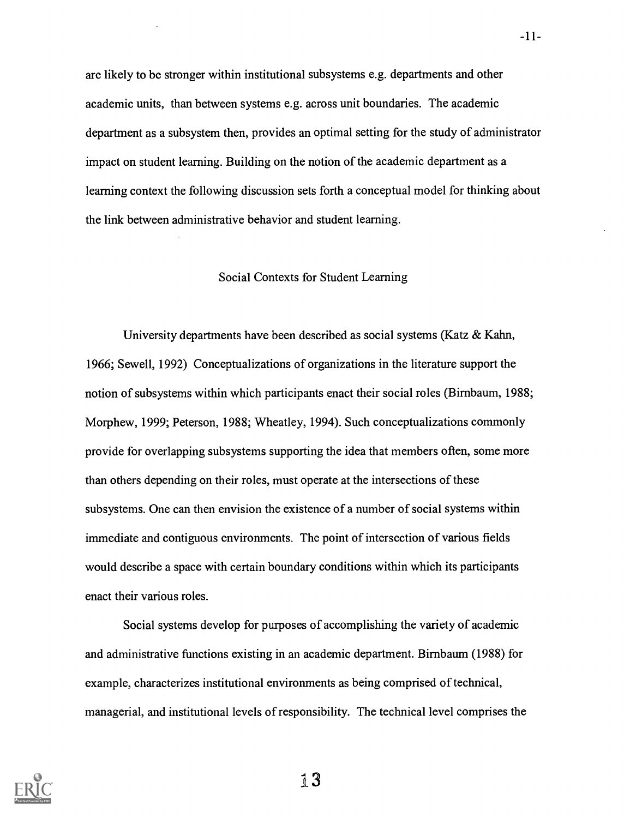are likely to be stronger within institutional subsystems e.g. departments and other academic units, than between systems e.g. across unit boundaries. The academic department as a subsystem then, provides an optimal setting for the study of administrator impact on student learning. Building on the notion of the academic department as a learning context the following discussion sets forth a conceptual model for thinking about the link between administrative behavior and student learning.

## Social Contexts for Student Learning

University departments have been described as social systems (Katz & Kahn, 1966; Sewell, 1992) Conceptualizations of organizations in the literature support the notion of subsystems within which participants enact their social roles (Birnbaum, 1988; Morphew, 1999; Peterson, 1988; Wheatley, 1994). Such conceptualizations commonly provide for overlapping subsystems supporting the idea that members often, some more than others depending on their roles, must operate at the intersections of these subsystems. One can then envision the existence of a number of social systems within immediate and contiguous environments. The point of intersection of various fields would describe a space with certain boundary conditions within which its participants enact their various roles.

Social systems develop for purposes of accomplishing the variety of academic and administrative functions existing in an academic department. Birnbaum (1988) for example, characterizes institutional environments as being comprised of technical, managerial, and institutional levels of responsibility. The technical level comprises the

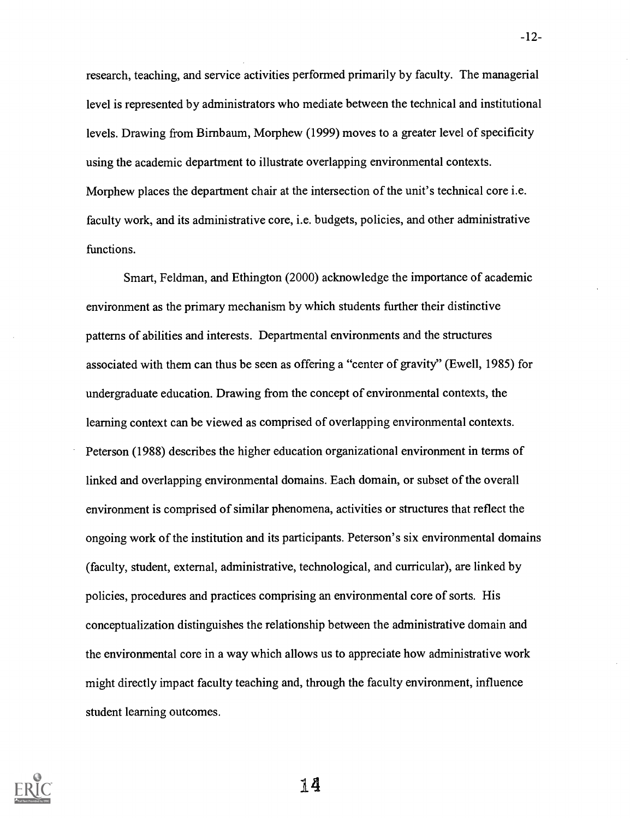research, teaching, and service activities performed primarily by faculty. The managerial level is represented by administrators who mediate between the technical and institutional levels. Drawing from Birnbaum, Morphew (1999) moves to a greater level of specificity using the academic department to illustrate overlapping environmental contexts. Morphew places the department chair at the intersection of the unit's technical core i.e. faculty work, and its administrative core, i.e. budgets, policies, and other administrative functions.

Smart, Feldman, and Ethington (2000) acknowledge the importance of academic environment as the primary mechanism by which students further their distinctive patterns of abilities and interests. Departmental environments and the structures associated with them can thus be seen as offering a "center of gravity" (Ewell, 1985) for undergraduate education. Drawing from the concept of environmental contexts, the learning context can be viewed as comprised of overlapping environmental contexts. Peterson (1988) describes the higher education organizational environment in terms of linked and overlapping environmental domains. Each domain, or subset of the overall environment is comprised of similar phenomena, activities or structures that reflect the ongoing work of the institution and its participants. Peterson's six environmental domains (faculty, student, external, administrative, technological, and curricular), are linked by policies, procedures and practices comprising an environmental core of sorts. His conceptualization distinguishes the relationship between the administrative domain and the environmental core in a way which allows us to appreciate how administrative work might directly impact faculty teaching and, through the faculty environment, influence student learning outcomes.

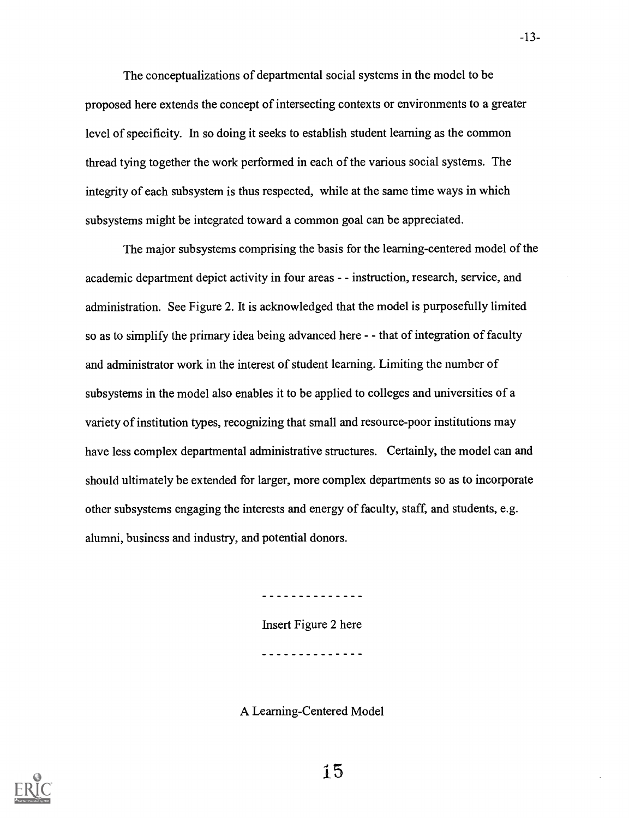The conceptualizations of departmental social systems in the model to be proposed here extends the concept of intersecting contexts or environments to a greater level of specificity. In so doing it seeks to establish student learning as the common thread tying together the work performed in each of the various social systems. The integrity of each subsystem is thus respected, while at the same time ways in which subsystems might be integrated toward a common goal can be appreciated.

The major subsystems comprising the basis for the learning-centered model of the academic department depict activity in four areas - - instruction, research, service, and administration. See Figure 2. It is acknowledged that the model is purposefully limited so as to simplify the primary idea being advanced here - - that of integration of faculty and administrator work in the interest of student learning. Limiting the number of subsystems in the model also enables it to be applied to colleges and universities of a variety of institution types, recognizing that small and resource-poor institutions may have less complex departmental administrative structures. Certainly, the model can and should ultimately be extended for larger, more complex departments so as to incorporate other subsystems engaging the interests and energy of faculty, staff, and students, e.g. alumni, business and industry, and potential donors.

<u>. . . . . . . . . . . .</u>

Insert Figure 2 here

. . . . . . . . . . . . . .

A Learning-Centered Model

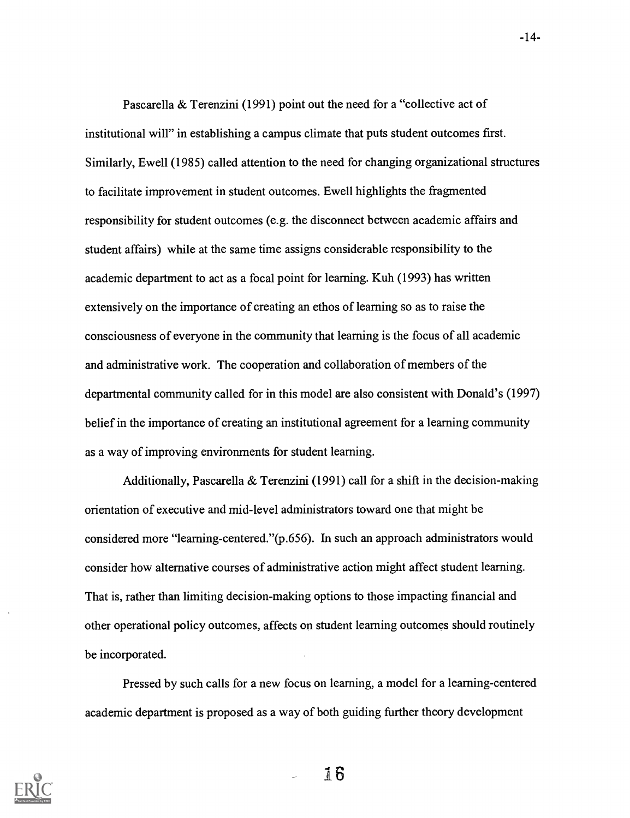Pascarella & Terenzini (1991) point out the need for a "collective act of institutional will" in establishing a campus climate that puts student outcomes first. Similarly, Ewell (1985) called attention to the need for changing organizational structures to facilitate improvement in student outcomes. Ewell highlights the fragmented responsibility for student outcomes (e.g. the disconnect between academic affairs and student affairs) while at the same time assigns considerable responsibility to the academic department to act as a focal point for learning. Kuh (1993) has written extensively on the importance of creating an ethos of learning so as to raise the consciousness of everyone in the community that learning is the focus of all academic and administrative work. The cooperation and collaboration of members of the departmental community called for in this model are also consistent with Donald's (1997) belief in the importance of creating an institutional agreement for a learning community as a way of improving environments for student learning.

Additionally, Pascarella & Terenzini (1991) call for a shift in the decision-making orientation of executive and mid-level administrators toward one that might be considered more "learning-centered."(p.656). In such an approach administrators would consider how alternative courses of administrative action might affect student learning. That is, rather than limiting decision-making options to those impacting financial and other operational policy outcomes, affects on student learning outcomes should routinely be incorporated.

Pressed by such calls for a new focus on learning, a model for a learning-centered academic department is proposed as a way of both guiding further theory development

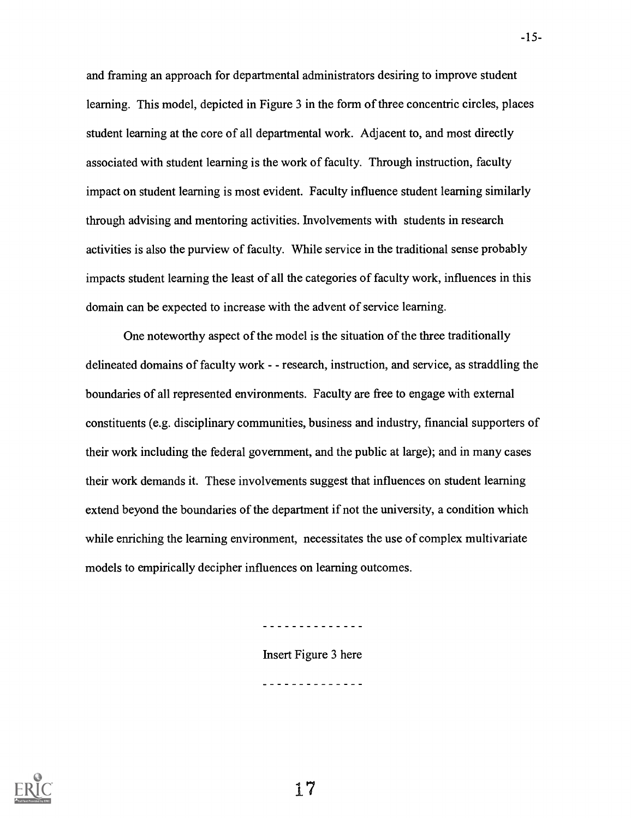and framing an approach for departmental administrators desiring to improve student learning. This model, depicted in Figure 3 in the form of three concentric circles, places student learning at the core of all departmental work. Adjacent to, and most directly associated with student learning is the work of faculty. Through instruction, faculty impact on student learning is most evident. Faculty influence student learning similarly through advising and mentoring activities. Involvements with students in research activities is also the purview of faculty. While service in the traditional sense probably impacts student learning the least of all the categories of faculty work, influences in this domain can be expected to increase with the advent of service learning.

One noteworthy aspect of the model is the situation of the three traditionally delineated domains of faculty work - - research, instruction, and service, as straddling the boundaries of all represented environments. Faculty are free to engage with external constituents (e.g. disciplinary communities, business and industry, financial supporters of their work including the federal government, and the public at large); and in many cases their work demands it. These involvements suggest that influences on student learning extend beyond the boundaries of the department if not the university, a condition which while enriching the learning environment, necessitates the use of complex multivariate models to empirically decipher influences on learning outcomes.

Insert Figure 3 here

. . . . *. . . . . . . . .* .

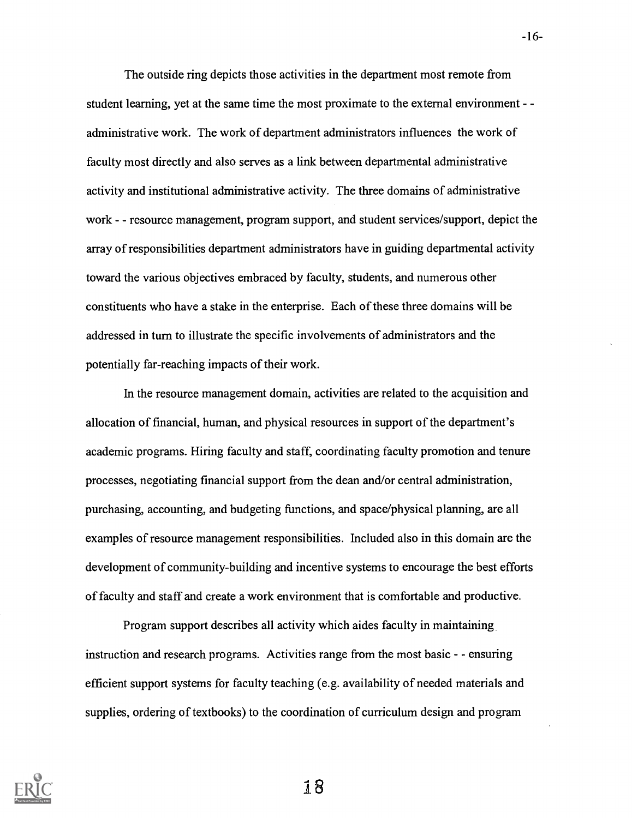The outside ring depicts those activities in the department most remote from student learning, yet at the same time the most proximate to the external environment - administrative work. The work of department administrators influences the work of faculty most directly and also serves as a link between departmental administrative activity and institutional administrative activity. The three domains of administrative work - - resource management, program support, and student services/support, depict the array of responsibilities department administrators have in guiding departmental activity toward the various objectives embraced by faculty, students, and numerous other constituents who have a stake in the enterprise. Each of these three domains will be addressed in turn to illustrate the specific involvements of administrators and the potentially far-reaching impacts of their work.

In the resource management domain, activities are related to the acquisition and allocation of financial, human, and physical resources in support of the department's academic programs. Hiring faculty and staff, coordinating faculty promotion and tenure processes, negotiating financial support from the dean and/or central administration, purchasing, accounting, and budgeting functions, and space/physical planning, are all examples of resource management responsibilities. Included also in this domain are the development of community-building and incentive systems to encourage the best efforts of faculty and staff and create a work environment that is comfortable and productive.

Program support describes all activity which aides faculty in maintaining instruction and research programs. Activities range from the most basic - - ensuring efficient support systems for faculty teaching (e.g. availability of needed materials and supplies, ordering of textbooks) to the coordination of curriculum design and program

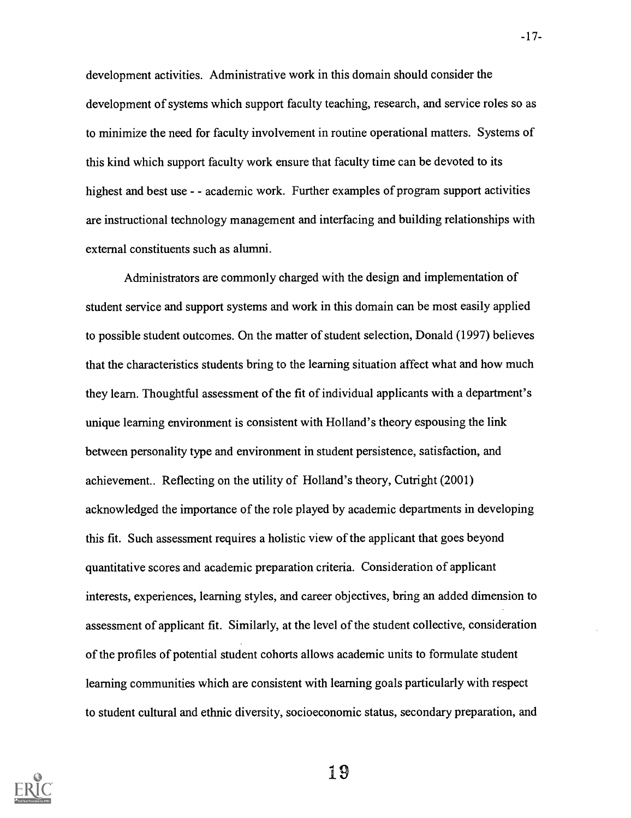development activities. Administrative work in this domain should consider the development of systems which support faculty teaching, research, and service roles so as to minimize the need for faculty involvement in routine operational matters. Systems of this kind which support faculty work ensure that faculty time can be devoted to its highest and best use - - academic work. Further examples of program support activities are instructional technology management and interfacing and building relationships with external constituents such as alumni.

Administrators are commonly charged with the design and implementation of student service and support systems and work in this domain can be most easily applied to possible student outcomes. On the matter of student selection, Donald (1997) believes that the characteristics students bring to the learning situation affect what and how much they learn. Thoughtful assessment of the fit of individual applicants with a department's unique learning environment is consistent with Holland's theory espousing the link between personality type and environment in student persistence, satisfaction, and achievement.. Reflecting on the utility of Holland's theory, Cutright (2001) acknowledged the importance of the role played by academic departments in developing this fit. Such assessment requires a holistic view of the applicant that goes beyond quantitative scores and academic preparation criteria. Consideration of applicant interests, experiences, learning styles, and career objectives, bring an added dimension to assessment of applicant fit. Similarly, at the level of the student collective, consideration of the profiles of potential student cohorts allows academic units to formulate student learning communities which are consistent with learning goals particularly with respect to student cultural and ethnic diversity, socioeconomic status, secondary preparation, and

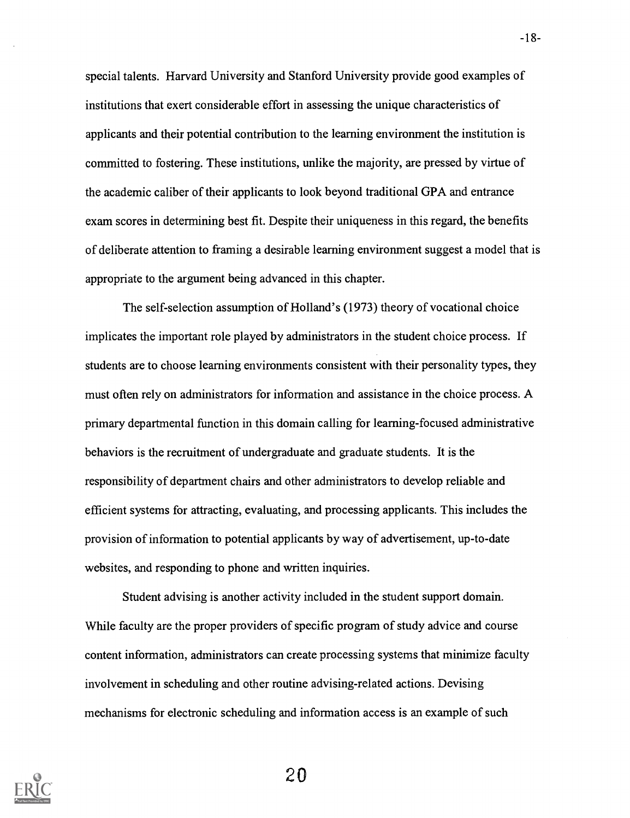special talents. Harvard University and Stanford University provide good examples of institutions that exert considerable effort in assessing the unique characteristics of applicants and their potential contribution to the learning environment the institution is committed to fostering. These institutions, unlike the majority, are pressed by virtue of the academic caliber of their applicants to look beyond traditional GPA and entrance exam scores in determining best fit. Despite their uniqueness in this regard, the benefits of deliberate attention to framing a desirable learning environment suggest a model that is appropriate to the argument being advanced in this chapter.

The self-selection assumption of Holland's (1973) theory of vocational choice implicates the important role played by administrators in the student choice process. If students are to choose learning environments consistent with their personality types, they must often rely on administrators for information and assistance in the choice process. A primary departmental function in this domain calling for learning-focused administrative behaviors is the recruitment of undergraduate and graduate students. It is the responsibility of department chairs and other administrators to develop reliable and efficient systems for attracting, evaluating, and processing applicants. This includes the provision of information to potential applicants by way of advertisement, up-to-date websites, and responding to phone and written inquiries.

Student advising is another activity included in the student support domain. While faculty are the proper providers of specific program of study advice and course content information, administrators can create processing systems that minimize faculty involvement in scheduling and other routine advising-related actions. Devising mechanisms for electronic scheduling and information access is an example of such

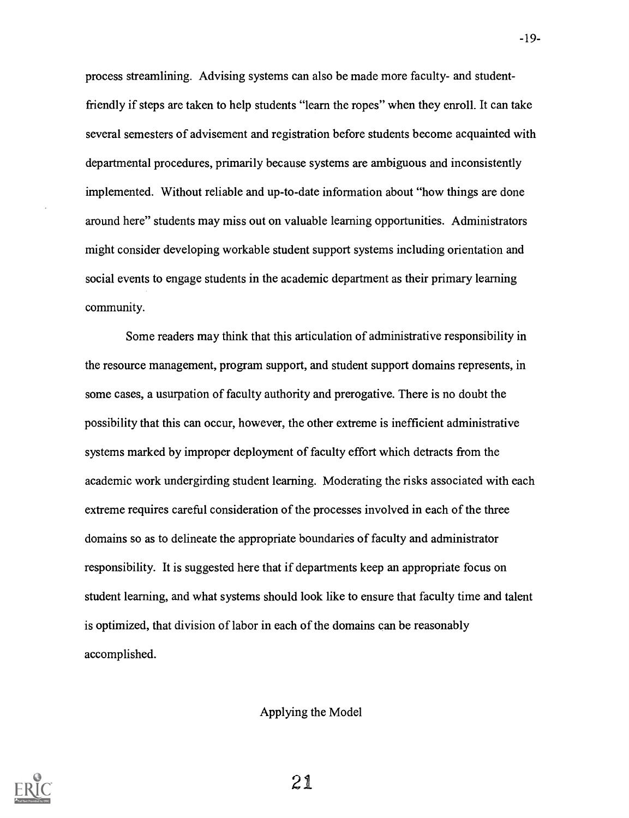process streamlining. Advising systems can also be made more faculty- and studentfriendly if steps are taken to help students "learn the ropes" when they enroll. It can take several semesters of advisement and registration before students become acquainted with departmental procedures, primarily because systems are ambiguous and inconsistently implemented. Without reliable and up-to-date information about "how things are done around here" students may miss out on valuable learning opportunities. Administrators might consider developing workable student support systems including orientation and social events to engage students in the academic department as their primary learning community.

Some readers may think that this articulation of administrative responsibility in the resource management, program support, and student support domains represents, in some cases, a usurpation of faculty authority and prerogative. There is no doubt the possibility that this can occur, however, the other extreme is inefficient administrative systems marked by improper deployment of faculty effort which detracts from the academic work undergirding student learning. Moderating the risks associated with each extreme requires careful consideration of the processes involved in each of the three domains so as to delineate the appropriate boundaries of faculty and administrator responsibility. It is suggested here that if departments keep an appropriate focus on student learning, and what systems should look like to ensure that faculty time and talent is optimized, that division of labor in each of the domains can be reasonably accomplished.

Applying the Model

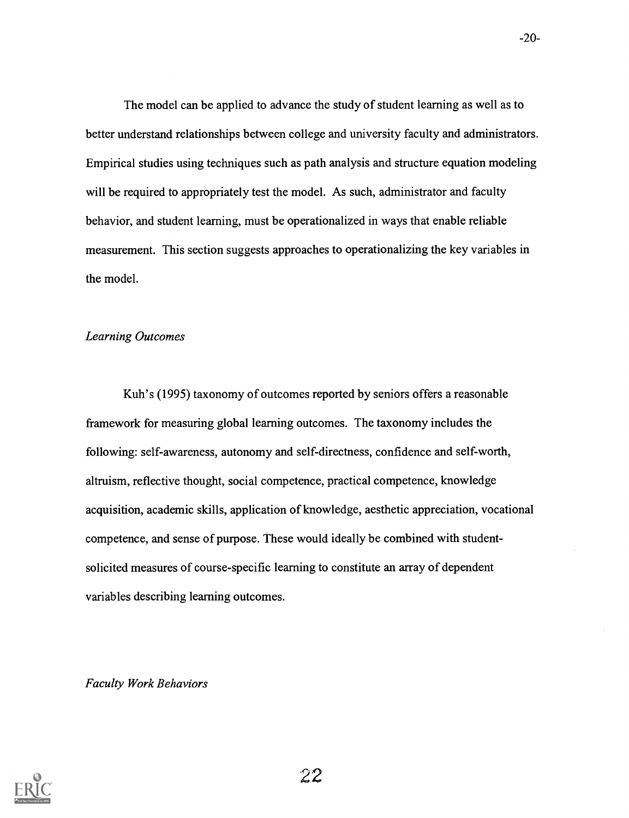The model can be applied to advance the study of student learning as well as to better understand relationships between college and university faculty and administrators. Empirical studies using techniques such as path analysis and structure equation modeling will be required to appropriately test the model. As such, administrator and faculty behavior, and student learning, must be operationalized in ways that enable reliable measurement. This section suggests approaches to operationalizing the key variables in the model.

# Learning Outcomes

Kuh's (1995) taxonomy of outcomes reported by seniors offers a reasonable framework for measuring global learning outcomes. The taxonomy includes the following: self-awareness, autonomy and self-directness, confidence and self-worth, altruism, reflective thought, social competence, practical competence, knowledge acquisition, academic skills, application of knowledge, aesthetic appreciation, vocational competence, and sense of purpose. These would ideally be combined with studentsolicited measures of course-specific learning to constitute an array of dependent variables describing learning outcomes.

Faculty Work Behaviors

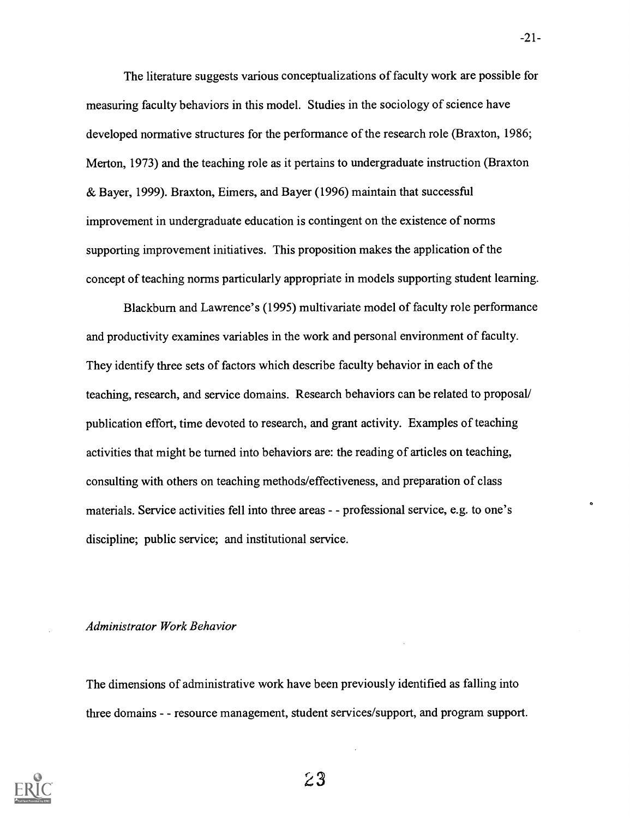The literature suggests various conceptualizations of faculty work are possible for measuring faculty behaviors in this model. Studies in the sociology of science have developed normative structures for the performance of the research role (Braxton, 1986; Merton, 1973) and the teaching role as it pertains to undergraduate instruction (Braxton & Bayer, 1999). Braxton, Eimers, and Bayer (1996) maintain that successful improvement in undergraduate education is contingent on the existence of norms supporting improvement initiatives. This proposition makes the application of the concept of teaching norms particularly appropriate in models supporting student learning.

Blackburn and Lawrence's (1995) multivariate model of faculty role performance and productivity examines variables in the work and personal environment of faculty. They identify three sets of factors which describe faculty behavior in each of the teaching, research, and service domains. Research behaviors can be related to proposal/ publication effort, time devoted to research, and grant activity. Examples of teaching activities that might be turned into behaviors are: the reading of articles on teaching, consulting with others on teaching methods/effectiveness, and preparation of class materials. Service activities fell into three areas - - professional service, e.g. to one's discipline; public service; and institutional service.

#### Administrator Work Behavior

The dimensions of administrative work have been previously identified as falling into three domains - resource management, student services/support, and program support.



-21-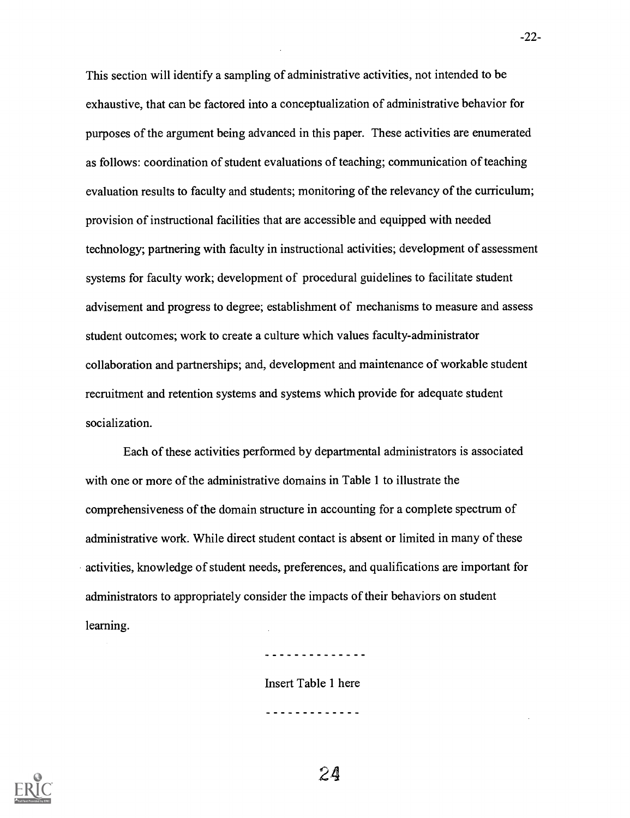This section will identify a sampling of administrative activities, not intended to be exhaustive, that can be factored into a conceptualization of administrative behavior for purposes of the argument being advanced in this paper. These activities are enumerated as follows: coordination of student evaluations of teaching; communication of teaching evaluation results to faculty and students; monitoring of the relevancy of the curriculum; provision of instructional facilities that are accessible and equipped with needed technology; partnering with faculty in instructional activities; development of assessment systems for faculty work; development of procedural guidelines to facilitate student advisement and progress to degree; establishment of mechanisms to measure and assess student outcomes; work to create a culture which values faculty-administrator collaboration and partnerships; and, development and maintenance of workable student recruitment and retention systems and systems which provide for adequate student socialization.

Each of these activities performed by departmental administrators is associated with one or more of the administrative domains in Table 1 to illustrate the comprehensiveness of the domain structure in accounting for a complete spectrum of administrative work. While direct student contact is absent or limited in many of these activities, knowledge of student needs, preferences, and qualifications are important for administrators to appropriately consider the impacts of their behaviors on student learning.

. . . . . . . . . . . . . .

Insert Table 1 here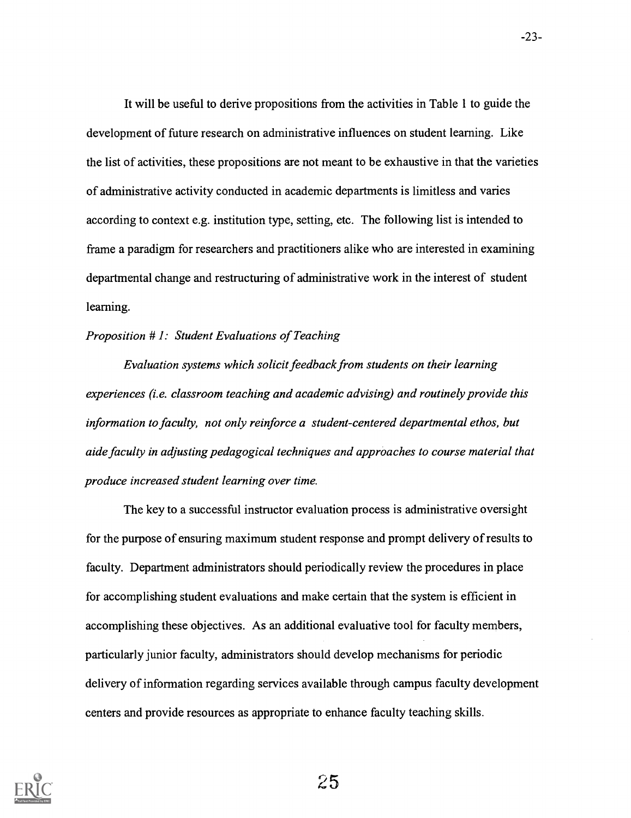It will be useful to derive propositions from the activities in Table 1 to guide the development of future research on administrative influences on student learning. Like the list of activities, these propositions are not meant to be exhaustive in that the varieties of administrative activity conducted in academic departments is limitless and varies according to context e.g. institution type, setting, etc. The following list is intended to frame a paradigm for researchers and practitioners alike who are interested in examining departmental change and restructuring of administrative work in the interest of student learning.

# Proposition # 1: Student Evaluations of Teaching

Evaluation systems which solicit feedback from students on their learning experiences (i.e. classroom teaching and academic advising) and routinely provide this information to faculty, not only reinforce a student-centered departmental ethos, but aide faculty in adjusting pedagogical techniques and approaches to course material that produce increased student learning over time.

The key to a successful instructor evaluation process is administrative oversight for the purpose of ensuring maximum student response and prompt delivery of results to faculty. Department administrators should periodically review the procedures in place for accomplishing student evaluations and make certain that the system is efficient in accomplishing these objectives. As an additional evaluative tool for faculty members, particularly junior faculty, administrators should develop mechanisms for periodic delivery of information regarding services available through campus faculty development centers and provide resources as appropriate to enhance faculty teaching skills.

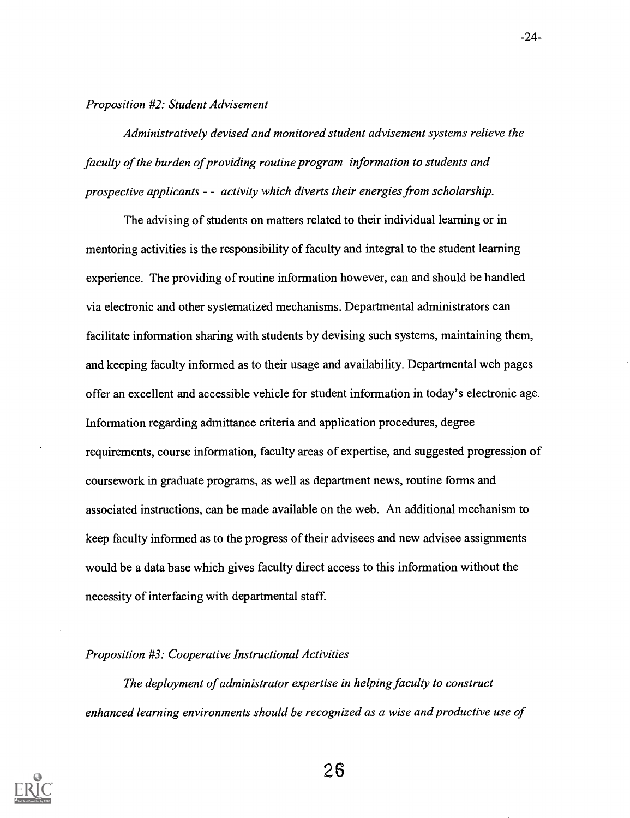Proposition #2: Student Advisement

Administratively devised and monitored student advisement systems relieve the faculty of the burden of providing routine program information to students and prospective applicants  $-\alpha$  activity which diverts their energies from scholarship.

The advising of students on matters related to their individual learning or in mentoring activities is the responsibility of faculty and integral to the student learning experience. The providing of routine information however, can and should be handled via electronic and other systematized mechanisms. Departmental administrators can facilitate information sharing with students by devising such systems, maintaining them, and keeping faculty informed as to their usage and availability. Departmental web pages offer an excellent and accessible vehicle for student information in today's electronic age. Information regarding admittance criteria and application procedures, degree requirements, course information, faculty areas of expertise, and suggested progression of coursework in graduate programs, as well as department news, routine forms and associated instructions, can be made available on the web. An additional mechanism to keep faculty informed as to the progress of their advisees and new advisee assignments would be a data base which gives faculty direct access to this information without the necessity of interfacing with departmental staff.

# Proposition #3: Cooperative Instructional Activities

The deployment of administrator expertise in helping faculty to construct enhanced learning environments should be recognized as a wise and productive use of



-24-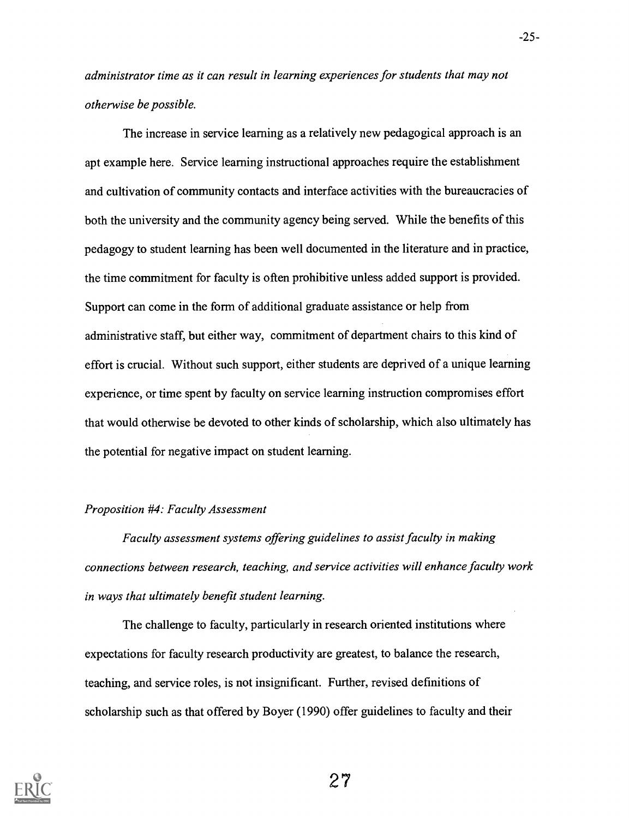administrator time as it can result in learning experiences for students that may not otherwise be possible.

The increase in service learning as a relatively new pedagogical approach is an apt example here. Service learning instructional approaches require the establishment and cultivation of community contacts and interface activities with the bureaucracies of both the university and the community agency being served. While the benefits of this pedagogy to student learning has been well documented in the literature and in practice, the time commitment for faculty is often prohibitive unless added support is provided. Support can come in the form of additional graduate assistance or help from administrative staff, but either way, commitment of department chairs to this kind of effort is crucial. Without such support, either students are deprived of a unique learning experience, or time spent by faculty on service learning instruction compromises effort that would otherwise be devoted to other kinds of scholarship, which also ultimately has the potential for negative impact on student learning.

## Proposition #4: Faculty Assessment

Faculty assessment systems offering guidelines to assist faculty in making connections between research, teaching, and service activities will enhance faculty work in ways that ultimately benefit student learning.

The challenge to faculty, particularly in research oriented institutions where expectations for faculty research productivity are greatest, to balance the research, teaching, and service roles, is not insignificant. Further, revised definitions of scholarship such as that offered by Boyer (1990) offer guidelines to faculty and their



27

-25-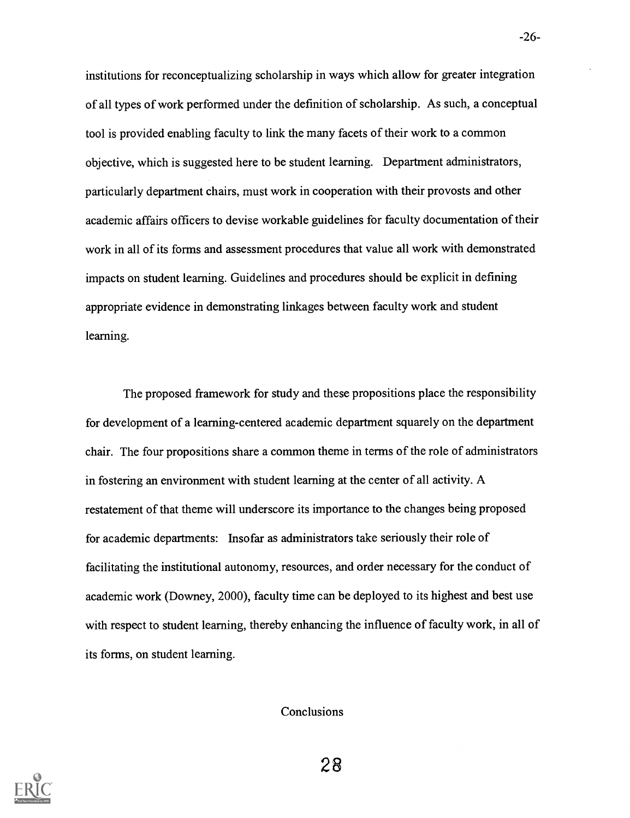institutions for reconceptualizing scholarship in ways which allow for greater integration of all types of work performed under the definition of scholarship. As such, a conceptual tool is provided enabling faculty to link the many facets of their work to a common objective, which is suggested here to be student learning. Department administrators, particularly department chairs, must work in cooperation with their provosts and other academic affairs officers to devise workable guidelines for faculty documentation of their work in all of its forms and assessment procedures that value all work with demonstrated impacts on student learning. Guidelines and procedures should be explicit in defining appropriate evidence in demonstrating linkages between faculty work and student learning.

The proposed framework for study and these propositions place the responsibility for development of a learning-centered academic department squarely on the department chair. The four propositions share a common theme in terms of the role of administrators in fostering an environment with student learning at the center of all activity. A restatement of that theme will underscore its importance to the changes being proposed for academic departments: Insofar as administrators take seriously their role of facilitating the institutional autonomy, resources, and order necessary for the conduct of academic work (Downey, 2000), faculty time can be deployed to its highest and best use with respect to student learning, thereby enhancing the influence of faculty work, in all of its forms, on student learning.

Conclusions

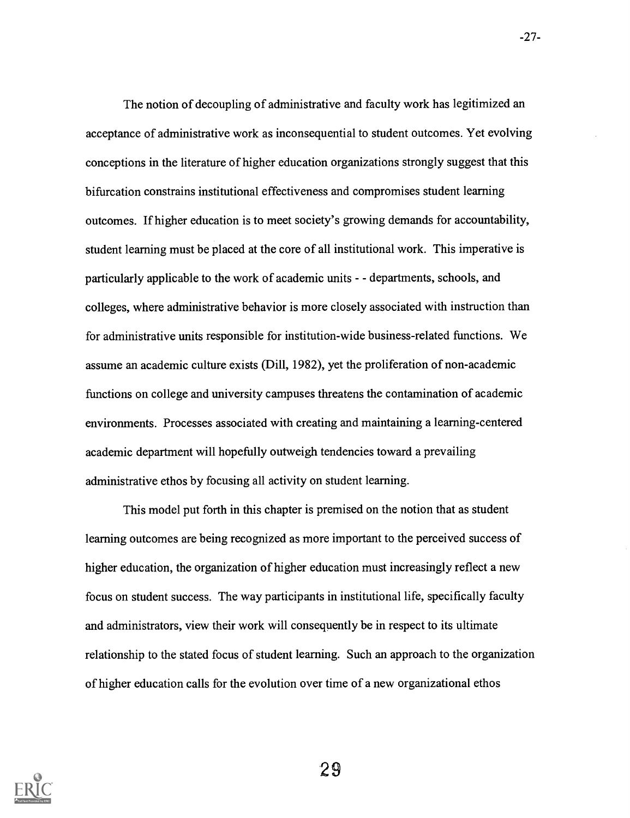The notion of decoupling of administrative and faculty work has legitimized an acceptance of administrative work as inconsequential to student outcomes. Yet evolving conceptions in the literature of higher education organizations strongly suggest that this bifurcation constrains institutional effectiveness and compromises student learning outcomes. If higher education is to meet society's growing demands for accountability, student learning must be placed at the core of all institutional work. This imperative is particularly applicable to the work of academic units - - departments, schools, and colleges, where administrative behavior is more closely associated with instruction than for administrative units responsible for institution-wide business-related functions. We assume an academic culture exists (Dill, 1982), yet the proliferation of non-academic functions on college and university campuses threatens the contamination of academic environments. Processes associated with creating and maintaining a learning-centered academic department will hopefully outweigh tendencies toward a prevailing administrative ethos by focusing all activity on student learning.

This model put forth in this chapter is premised on the notion that as student learning outcomes are being recognized as more important to the perceived success of higher education, the organization of higher education must increasingly reflect a new focus on student success. The way participants in institutional life, specifically faculty and administrators, view their work will consequently be in respect to its ultimate relationship to the stated focus of student learning. Such an approach to the organization of higher education calls for the evolution over time of a new organizational ethos

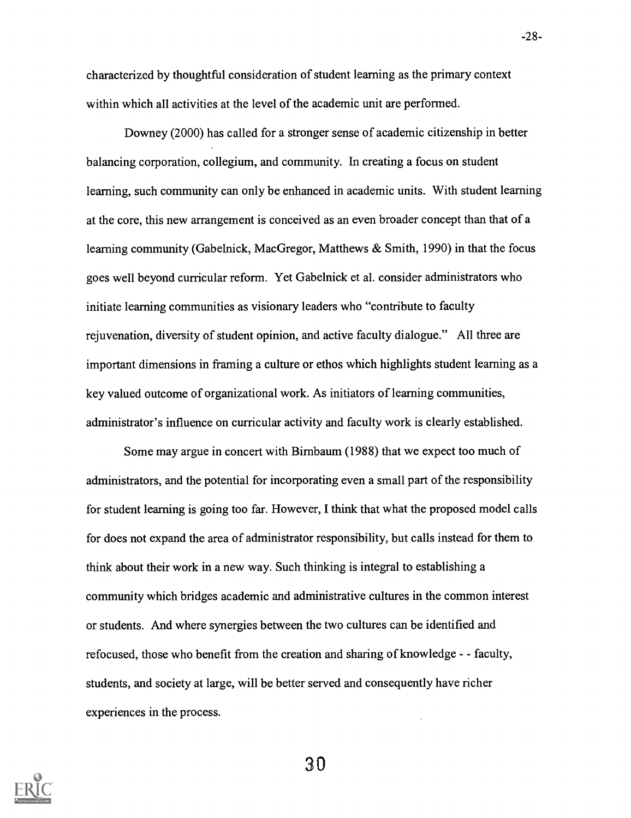characterized by thoughtful consideration of student learning as the primary context within which all activities at the level of the academic unit are performed.

Downey (2000) has called for a stronger sense of academic citizenship in better balancing corporation, collegium, and community. In creating a focus on student learning, such community can only be enhanced in academic units. With student learning at the core, this new arrangement is conceived as an even broader concept than that of a learning community (Gabelnick, MacGregor, Matthews & Smith, 1990) in that the focus goes well beyond curricular reform. Yet Gabelnick et al. consider administrators who initiate learning communities as visionary leaders who "contribute to faculty rejuvenation, diversity of student opinion, and active faculty dialogue." All three are important dimensions in framing a culture or ethos which highlights student learning as a key valued outcome of organizational work. As initiators of learning communities, administrator's influence on curricular activity and faculty work is clearly established.

Some may argue in concert with Birnbaum (1988) that we expect too much of administrators, and the potential for incorporating even a small part of the responsibility for student learning is going too far. However, I think that what the proposed model calls for does not expand the area of administrator responsibility, but calls instead for them to think about their work in a new way. Such thinking is integral to establishing a community which bridges academic and administrative cultures in the common interest or students. And where synergies between the two cultures can be identified and refocused, those who benefit from the creation and sharing of knowledge - - faculty, students, and society at large, will be better served and consequently have richer experiences in the process.



30

-28-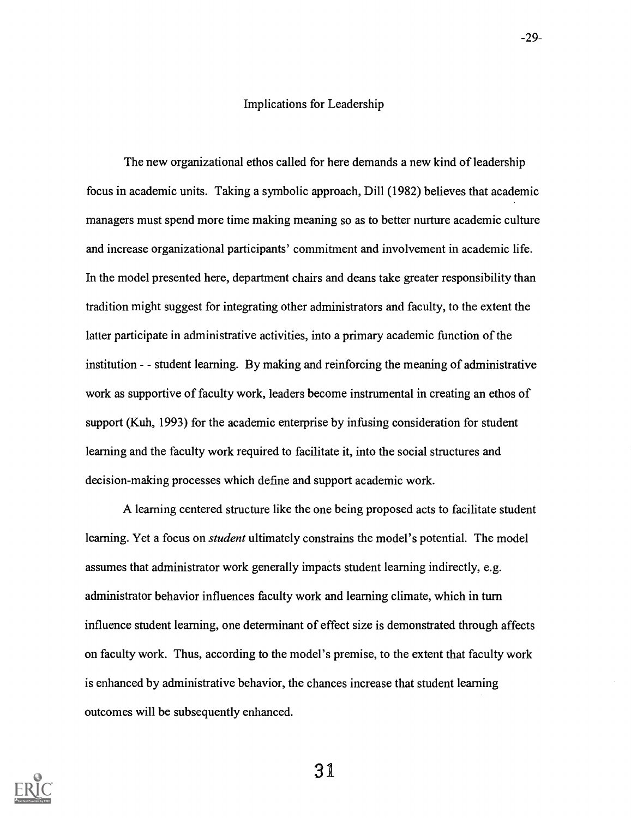### Implications for Leadership

The new organizational ethos called for here demands a new kind of leadership focus in academic units. Taking a symbolic approach, Dill (1982) believes that academic managers must spend more time making meaning so as to better nurture academic culture and increase organizational participants' commitment and involvement in academic life. In the model presented here, department chairs and deans take greater responsibility than tradition might suggest for integrating other administrators and faculty, to the extent the latter participate in administrative activities, into a primary academic function of the institution - - student learning. By making and reinforcing the meaning of administrative work as supportive of faculty work, leaders become instrumental in creating an ethos of support (Kuh, 1993) for the academic enterprise by infusing consideration for student learning and the faculty work required to facilitate it, into the social structures and decision-making processes which define and support academic work.

A learning centered structure like the one being proposed acts to facilitate student learning. Yet a focus on *student* ultimately constrains the model's potential. The model assumes that administrator work generally impacts student learning indirectly, e.g. administrator behavior influences faculty work and learning climate, which in turn influence student learning, one determinant of effect size is demonstrated through affects on faculty work. Thus, according to the model's premise, to the extent that faculty work is enhanced by administrative behavior, the chances increase that student learning outcomes will be subsequently enhanced.

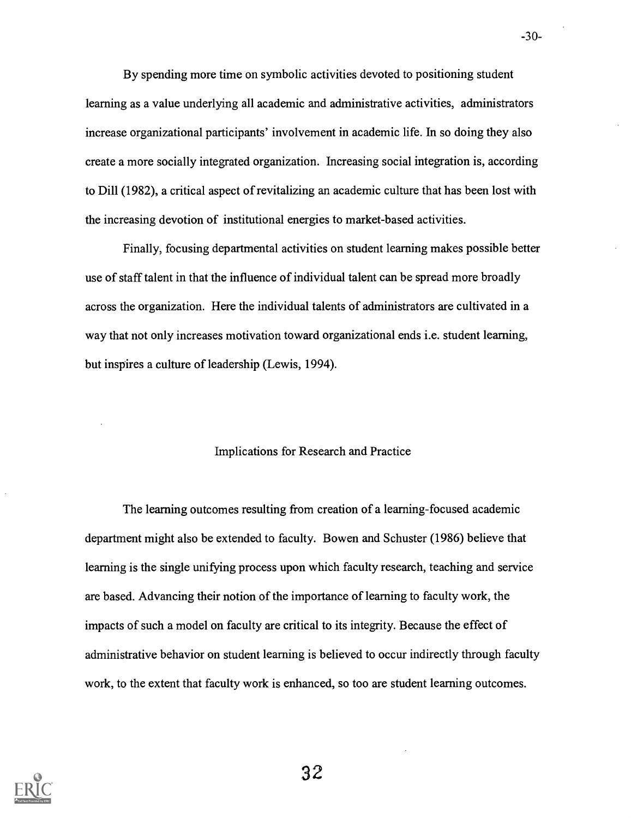By spending more time on symbolic activities devoted to positioning student learning as a value underlying all academic and administrative activities, administrators increase organizational participants' involvement in academic life. In so doing they also create a more socially integrated organization. Increasing social integration is, according to Dill (1982), a critical aspect of revitalizing an academic culture that has been lost with the increasing devotion of institutional energies to market-based activities.

Finally, focusing departmental activities on student learning makes possible better use of staff talent in that the influence of individual talent can be spread more broadly across the organization. Here the individual talents of administrators are cultivated in a way that not only increases motivation toward organizational ends i.e. student learning, but inspires a culture of leadership (Lewis, 1994).

# Implications for Research and Practice

The learning outcomes resulting from creation of a learning-focused academic department might also be extended to faculty. Bowen and Schuster (1986) believe that learning is the single unifying process upon which faculty research, teaching and service are based. Advancing their notion of the importance of learning to faculty work, the impacts of such a model on faculty are critical to its integrity. Because the effect of administrative behavior on student learning is believed to occur indirectly through faculty work, to the extent that faculty work is enhanced, so too are student learning outcomes.



32

-30-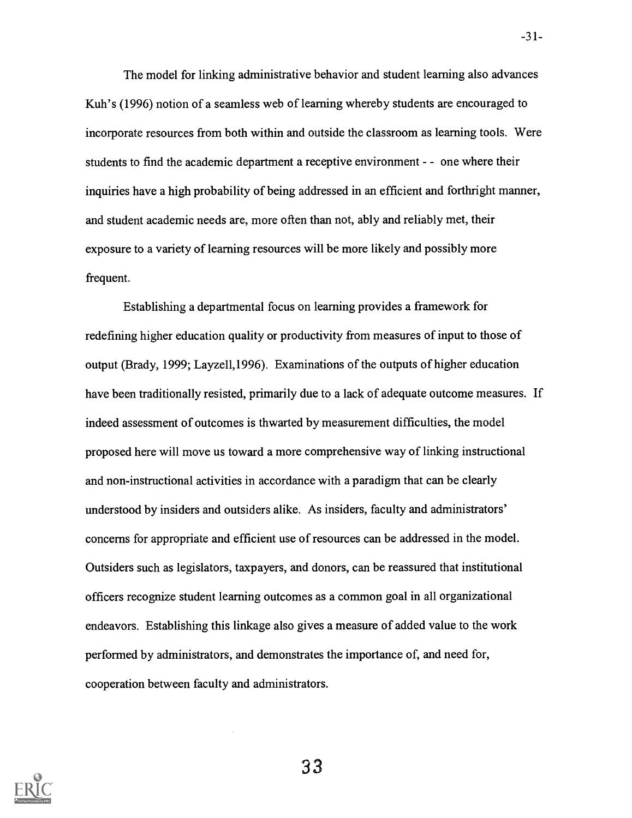The model for linking administrative behavior and student learning also advances Kuh's (1996) notion of a seamless web of learning whereby students are encouraged to incorporate resources from both within and outside the classroom as learning tools. Were students to find the academic department a receptive environment - - one where their inquiries have a high probability of being addressed in an efficient and forthright manner, and student academic needs are, more often than not, ably and reliably met, their exposure to a variety of learning resources will be more likely and possibly more frequent.

Establishing a departmental focus on learning provides a framework for redefining higher education quality or productivity from measures of input to those of output (Brady, 1999; Layze11,1996). Examinations of the outputs of higher education have been traditionally resisted, primarily due to a lack of adequate outcome measures. If indeed assessment of outcomes is thwarted by measurement difficulties, the model proposed here will move us toward a more comprehensive way of linking instructional and non-instructional activities in accordance with a paradigm that can be clearly understood by insiders and outsiders alike. As insiders, faculty and administrators' concerns for appropriate and efficient use of resources can be addressed in the model. Outsiders such as legislators, taxpayers, and donors, can be reassured that institutional officers recognize student learning outcomes as a common goal in all organizational endeavors. Establishing this linkage also gives a measure of added value to the work performed by administrators, and demonstrates the importance of, and need for, cooperation between faculty and administrators.

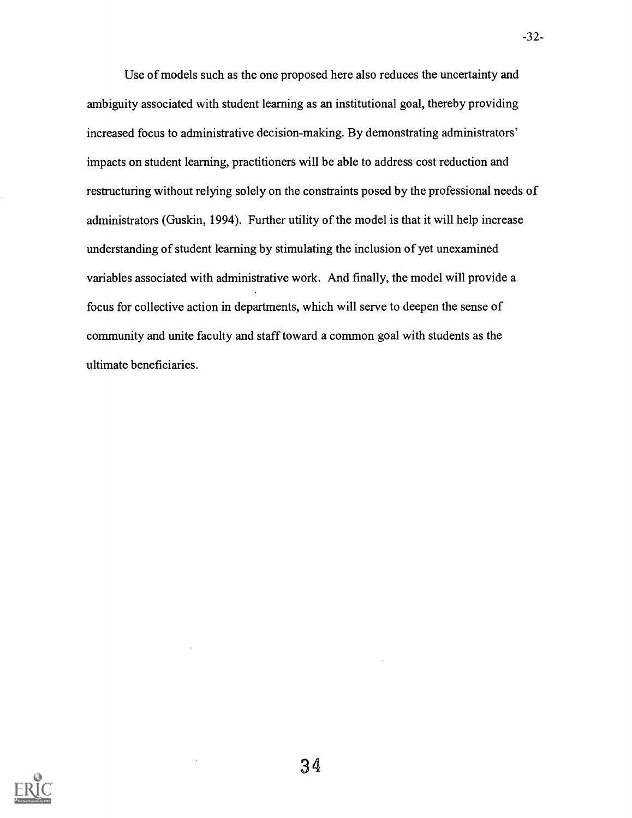Use of models such as the one proposed here also reduces the uncertainty and ambiguity associated with student learning as an institutional goal, thereby providing increased focus to administrative decision-making. By demonstrating administrators' impacts on student learning, practitioners will be able to address cost reduction and restructuring without relying solely on the constraints posed by the professional needs of administrators (Guskin, 1994). Further utility of the model is that it will help increase understanding of student learning by stimulating the inclusion of yet unexamined variables associated with administrative work. And finally, the model will provide a focus for collective action in departments, which will serve to deepen the sense of community and unite faculty and staff toward a common goal with students as the ultimate beneficiaries.



-32-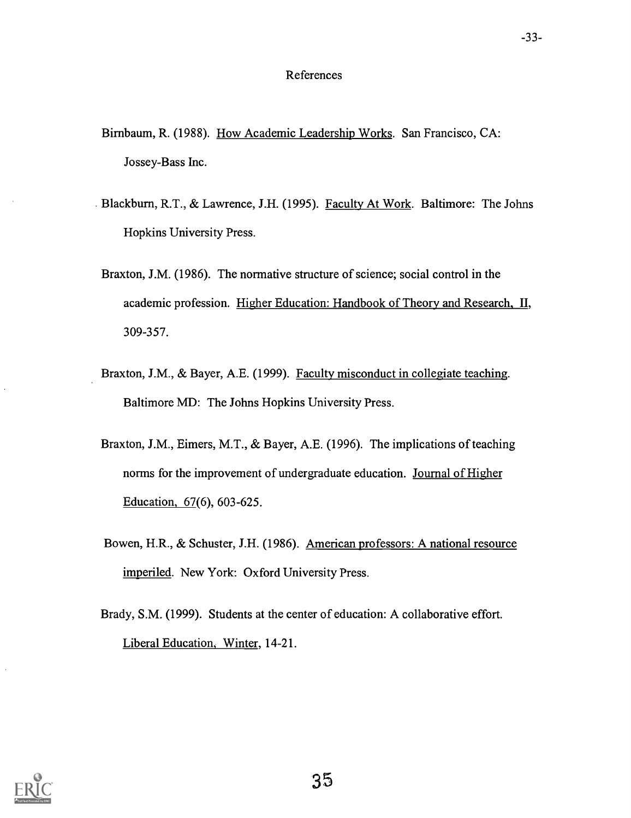# References

- Birnbaum, R. (1988). How Academic Leadership Works. San Francisco, CA: Jossey-Bass Inc.
- . Blackburn, R.T., & Lawrence, J.H. (1995). Faculty At Work. Baltimore: The Johns Hopkins University Press.
- Braxton, J.M. (1986). The normative structure of science; social control in the academic profession. Higher Education: Handbook of Theory and Research, II, 309-357.
- Braxton, J.M., & Bayer, A.E. (1999). Faculty misconduct in collegiate teaching. Baltimore MD: The Johns Hopkins University Press.
- Braxton, J.M., Eimers, M.T., & Bayer, A.E. (1996). The implications of teaching norms for the improvement of undergraduate education. Journal of Higher Education, 67(6), 603-625.
- Bowen, H.R., & Schuster, J.H. (1986). American professors: A national resource imperiled. New York: Oxford University Press.
- Brady, S.M. (1999). Students at the center of education: A collaborative effort. Liberal Education, Winter, 14-21.

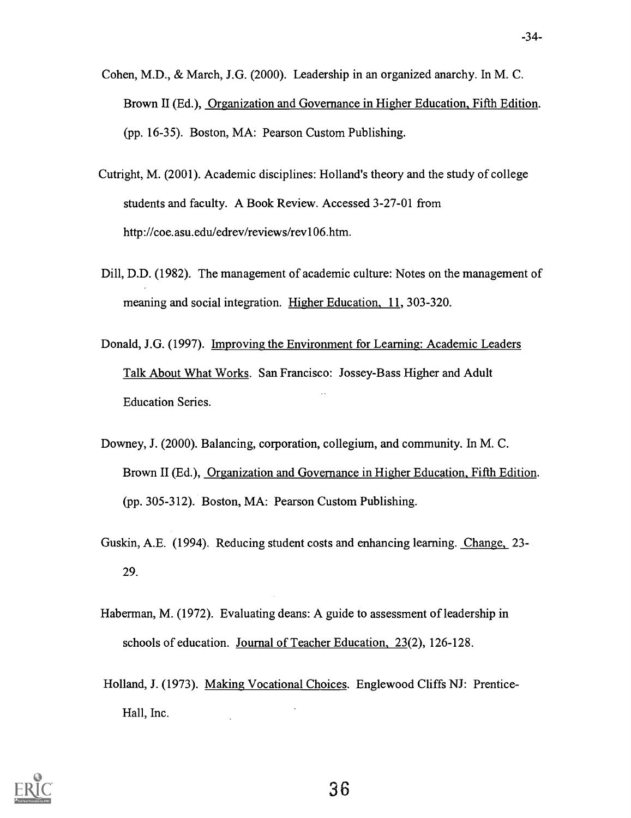- Cohen, M.D., & March, J.G. (2000). Leadership in an organized anarchy. In M. C. Brown II (Ed.), Organization and Governance in Higher Education, Fifth Edition. (pp. 16-35). Boston, MA: Pearson Custom Publishing.
- Cutright, M. (2001). Academic disciplines: Holland's theory and the study of college students and faculty. A Book Review. Accessed 3-27-01 from http://coe.asu.edu/edrev/reviews/rev106.htm.
- Dill, D.D. (1982). The management of academic culture: Notes on the management of meaning and social integration. Higher Education, 11, 303-320.
- Donald, J.G. (1997). Improving the Environment for Learning: Academic Leaders Talk About What Works. San Francisco: Jossey-Bass Higher and Adult Education Series.
- Downey, J. (2000). Balancing, corporation, collegium, and community. In M. C. Brown II (Ed.), Organization and Governance in Higher Education, Fifth Edition. (pp. 305-312). Boston, MA: Pearson Custom Publishing.
- Guskin, A.E. (1994). Reducing student costs and enhancing learning. Change, 23- 29.
- Haberman, M. (1972). Evaluating deans: A guide to assessment of leadership in schools of education. Journal of Teacher Education, 23(2), 126-128.
- Holland, J. (1973). Making Vocational Choices. Englewood Cliffs NJ: Prentice-Hall, Inc.

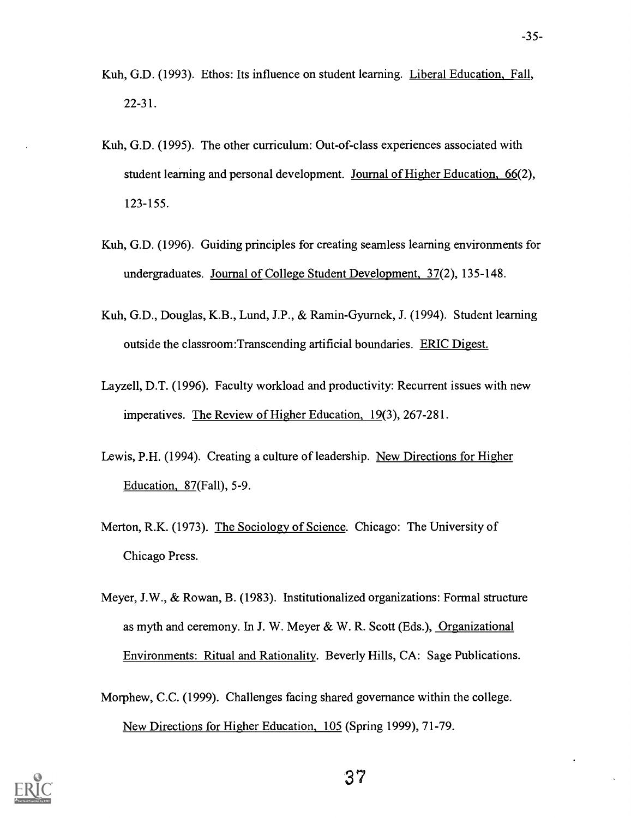- Kuh, G.D. (1993). Ethos: Its influence on student learning. Liberal Education, Fall, 22-31.
- Kuh, G.D. (1995). The other curriculum: Out-of-class experiences associated with student learning and personal development. Journal of Higher Education, 66(2), 123-155.
- Kuh, G.D. (1996). Guiding principles for creating seamless learning environments for undergraduates. Journal of College Student Development, 37(2), 135-148.
- Kuh, G.D., Douglas, K.B., Lund, J.P., & Ramin-Gyurnek, J. (1994). Student learning outside the classroom:Transcending artificial boundaries. ERIC Digest.
- Layzell, D.T. (1996). Faculty workload and productivity: Recurrent issues with new imperatives. The Review of Higher Education, 19(3), 267-281.
- Lewis, P.H. (1994). Creating a culture of leadership. New Directions for Higher Education, 87(Fall), 5-9.
- Merton, R.K. (1973). The Sociology of Science. Chicago: The University of Chicago Press.
- Meyer, J.W., & Rowan, B. (1983). Institutionalized organizations: Formal structure as myth and ceremony. In J. W. Meyer & W. R. Scott (Eds.), Organizational Environments: Ritual and Rationality. Beverly Hills, CA: Sage Publications.
- Morphew, C.C. (1999). Challenges facing shared governance within the college. New Directions for Higher Education, 105 (Spring 1999), 71-79.

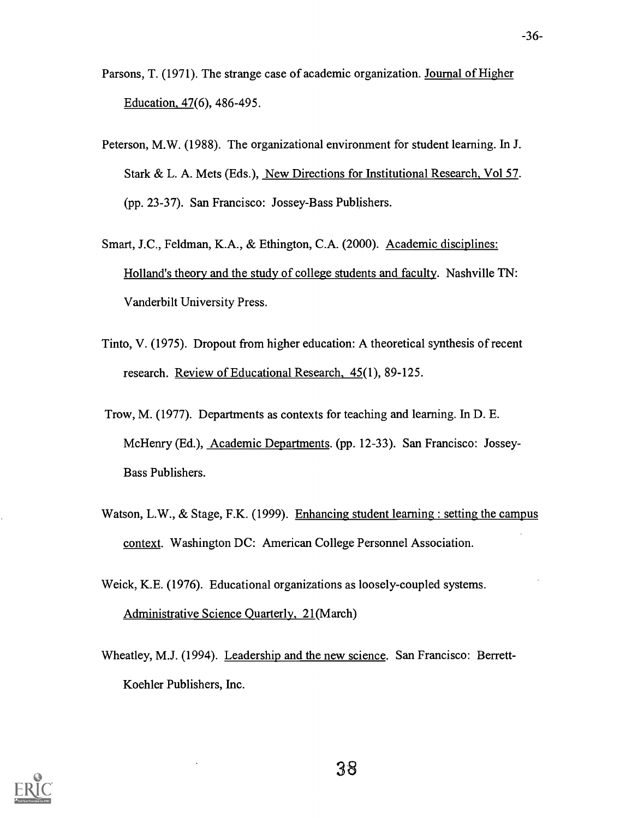Parsons, T. (1971). The strange case of academic organization. Journal of Higher Education, 47(6), 486-495.

- Peterson, M.W. (1988). The organizational environment for student learning. In J. Stark & L. A. Mets (Eds.), New Directions for Institutional Research, Vol 57. (pp. 23-37). San Francisco: Jossey-Bass Publishers.
- Smart, J.C., Feldman, K.A., & Ethington, C.A. (2000). Academic disciplines: Holland's theory and the study of college students and faculty. Nashville TN: Vanderbilt University Press.
- Tinto, V. (1975). Dropout from higher education: A theoretical synthesis of recent research. Review of Educational Research, 45(1), 89-125.
- Trow, M. (1977). Departments as contexts for teaching and learning. In D. E. McHenry (Ed.), Academic Departments. (pp. 12-33). San Francisco: Jossey-Bass Publishers.
- Watson, L.W., & Stage, F.K. (1999). Enhancing student learning : setting the campus context. Washington DC: American College Personnel Association.
- Weick, K.E. (1976). Educational organizations as loosely-coupled systems. Administrative Science Quarterly, 21(March)
- Wheatley, M.J. (1994). Leadership and the new science. San Francisco: Berrett-Koehler Publishers, Inc.



-36-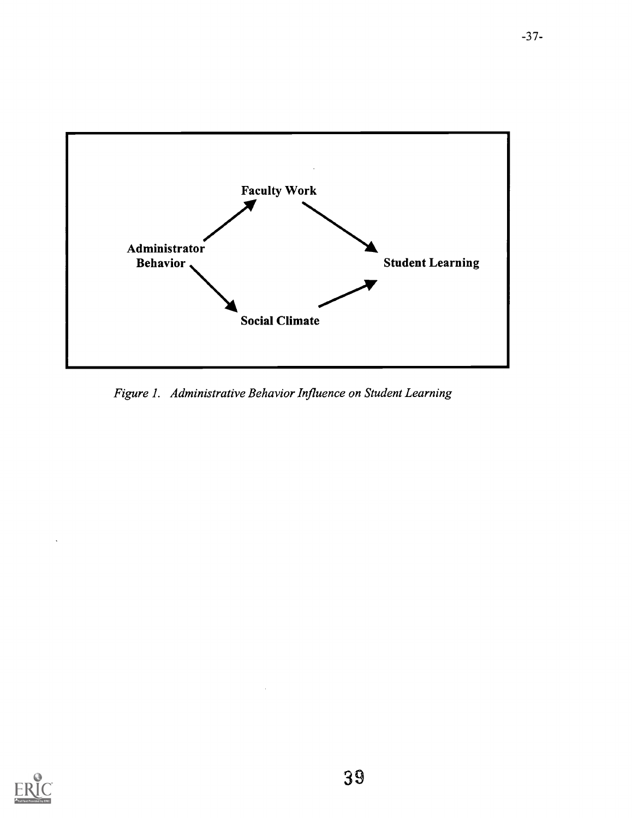

Figure 1. Administrative Behavior Influence on Student Learning

 $\sim$ 

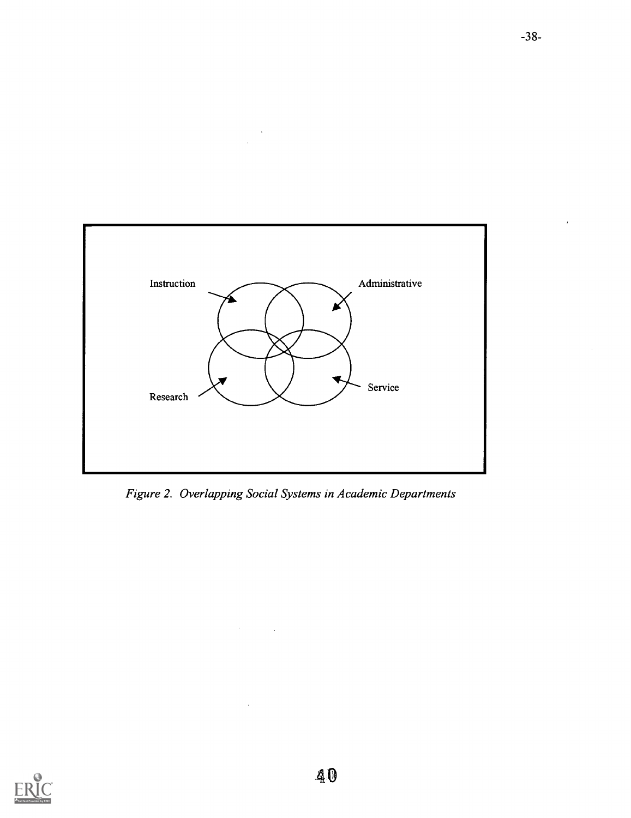

Figure 2. Overlapping Social Systems in Academic Departments

 $\overline{a}$ 

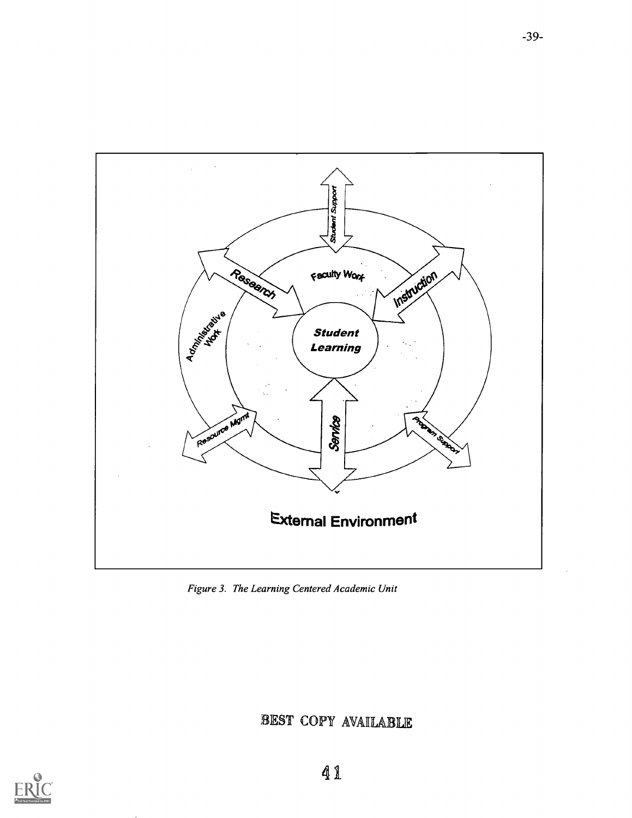

Figure 3. The Learning Centered Academic Unit

# BEST COPY AVAILABUR

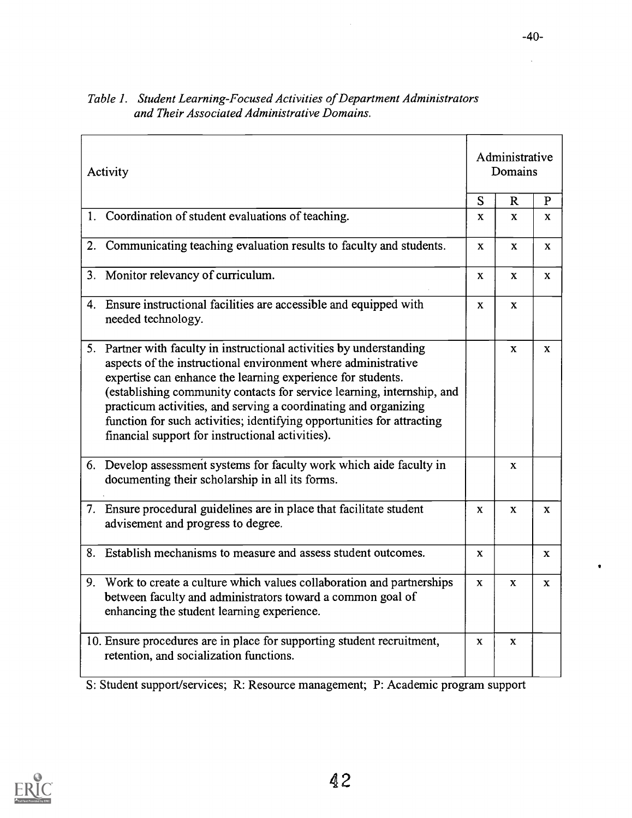| Activity                                                                                                                                                                                                                                                                                                                                                                                                                                                                        |              | Administrative<br>Domains |              |
|---------------------------------------------------------------------------------------------------------------------------------------------------------------------------------------------------------------------------------------------------------------------------------------------------------------------------------------------------------------------------------------------------------------------------------------------------------------------------------|--------------|---------------------------|--------------|
|                                                                                                                                                                                                                                                                                                                                                                                                                                                                                 | S            | $\mathbf R$               | $\mathbf{P}$ |
| 1. Coordination of student evaluations of teaching.                                                                                                                                                                                                                                                                                                                                                                                                                             | X            | X                         | X.           |
| Communicating teaching evaluation results to faculty and students.<br>2.                                                                                                                                                                                                                                                                                                                                                                                                        | X            | X                         | X.           |
| Monitor relevancy of curriculum.<br>3.                                                                                                                                                                                                                                                                                                                                                                                                                                          | $\mathbf{x}$ | $\mathbf{x}$              | X            |
| 4. Ensure instructional facilities are accessible and equipped with<br>needed technology.                                                                                                                                                                                                                                                                                                                                                                                       | $\mathbf{x}$ | $\mathbf x$               |              |
| 5. Partner with faculty in instructional activities by understanding<br>aspects of the instructional environment where administrative<br>expertise can enhance the learning experience for students.<br>(establishing community contacts for service learning, internship, and<br>practicum activities, and serving a coordinating and organizing<br>function for such activities; identifying opportunities for attracting<br>financial support for instructional activities). |              | $\mathbf{x}$              | X.           |
| 6. Develop assessment systems for faculty work which aide faculty in<br>documenting their scholarship in all its forms.                                                                                                                                                                                                                                                                                                                                                         |              | X.                        |              |
| 7. Ensure procedural guidelines are in place that facilitate student<br>advisement and progress to degree.                                                                                                                                                                                                                                                                                                                                                                      | X            | X                         | X.           |
| 8. Establish mechanisms to measure and assess student outcomes.                                                                                                                                                                                                                                                                                                                                                                                                                 | X            |                           | X            |
| Work to create a culture which values collaboration and partnerships<br>9.<br>between faculty and administrators toward a common goal of<br>enhancing the student learning experience.                                                                                                                                                                                                                                                                                          | X            | X                         | X            |
| 10. Ensure procedures are in place for supporting student recruitment,<br>retention, and socialization functions.                                                                                                                                                                                                                                                                                                                                                               | $\mathbf{x}$ | X.                        |              |

# Table 1. Student Learning-Focused Activities of Department Administrators and Their Associated Administrative Domains.

S: Student support/services; R: Resource management; P: Academic program support



 $\sim 10^7$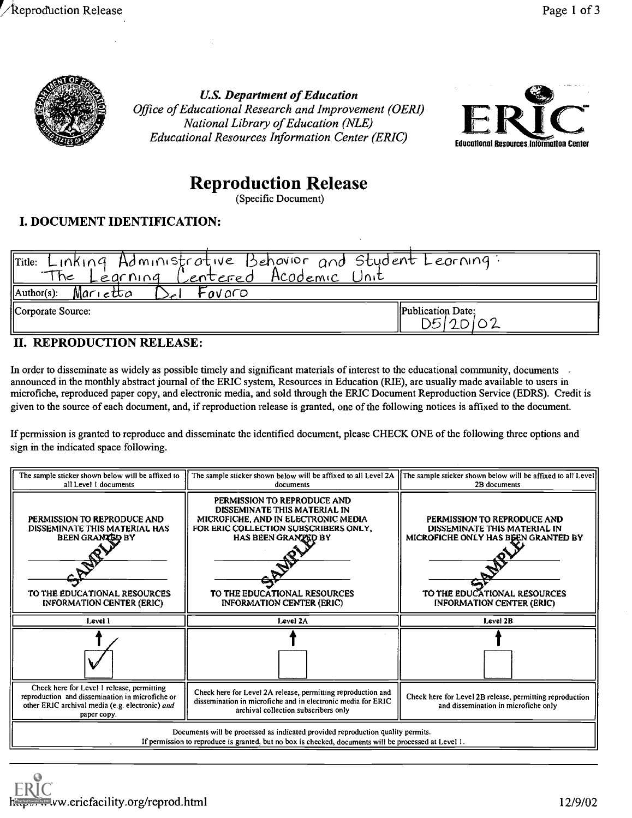

U.S. Department of Education Office of Educational Research and Improvement (OERI) National Library of Education (NLE) Educational Resources Information Center (ERIC)



# Reproduction Release

(Specific Document)

# I. DOCUMENT IDENTIFICATION:

| $\parallel$ Title: Linking Administrative Behovior and Stydent Leorning:<br>Centered Acodemic Unit<br>The<br>Learning |                                       |
|-----------------------------------------------------------------------------------------------------------------------|---------------------------------------|
| $\Lambda$ uthor(s):<br>Marietta<br>Fovaro                                                                             |                                       |
| Corporate Source:                                                                                                     | <b>IPublication Date:</b><br>D5120102 |

# II. REPRODUCTION RELEASE:

In order to disseminate as widely as possible timely and significant materials of interest to the educational community, documents announced in the monthly abstract journal of the ERIC system, Resources in Education (RIE), are usually made available to users in microfiche, reproduced paper copy, and electronic media, and sold through the ERIC Document Reproduction Service (EDRS). Credit is given to the source of each document, and, if reproduction release is granted, one of the following notices is affixed to the document.

If permission is granted to reproduce and disseminate the identified document, please CHECK ONE of the following three options and sign in the indicated space following.

| The sample sticker shown below will be affixed to<br>all Level 1 documents                                                                                      | The sample sticker shown below will be affixed to all Level 2A $\parallel$ The sample sticker shown below will be affixed to all Level<br>documents                                                                                           | 2B documents                                                                                                                                                           |
|-----------------------------------------------------------------------------------------------------------------------------------------------------------------|-----------------------------------------------------------------------------------------------------------------------------------------------------------------------------------------------------------------------------------------------|------------------------------------------------------------------------------------------------------------------------------------------------------------------------|
| PERMISSION TO REPRODUCE AND<br>DISSEMINATE THIS MATERIAL HAS<br><b>BEEN GRANTED BY</b><br>TO THE EDUCATIONAL RESOURCES<br><b>INFORMATION CENTER (ERIC)</b>      | PERMISSION TO REPRODUCE AND<br>DISSEMINATE THIS MATERIAL IN<br>MICROFICHE, AND IN ELECTRONIC MEDIA<br>FOR ERIC COLLECTION SUBSCRIBERS ONLY,<br><b>HAS BEEN GRANZED BY</b><br>TO THE EDUCATIONAL RESOURCES<br><b>INFORMATION CENTER (ERIC)</b> | PERMISSION TO REPRODUCE AND<br>DISSEMINATE THIS MATERIAL IN<br>MICROFICHE ONLY HAS BEEN GRANTED BY<br>TO THE EDUCATIONAL RESOURCES<br><b>INFORMATION CENTER (ERIC)</b> |
| Level 1                                                                                                                                                         | Level 2A                                                                                                                                                                                                                                      | Level 2B                                                                                                                                                               |
|                                                                                                                                                                 |                                                                                                                                                                                                                                               |                                                                                                                                                                        |
| Check here for Level 1 release, permitting<br>reproduction and dissemination in microfiche or<br>other ERIC archival media (e.g. electronic) and<br>paper copy. | Check here for Level 2A release, permitting reproduction and<br>dissemination in microfiche and in electronic media for ERIC<br>archival collection subscribers only                                                                          | Check here for Level 2B release, permitting reproduction<br>and dissemination in microfiche only                                                                       |
|                                                                                                                                                                 | Documents will be processed as indicated provided reproduction quality permits.<br>If permission to reproduce is granted, but no box is checked, documents will be processed at Level 1.                                                      |                                                                                                                                                                        |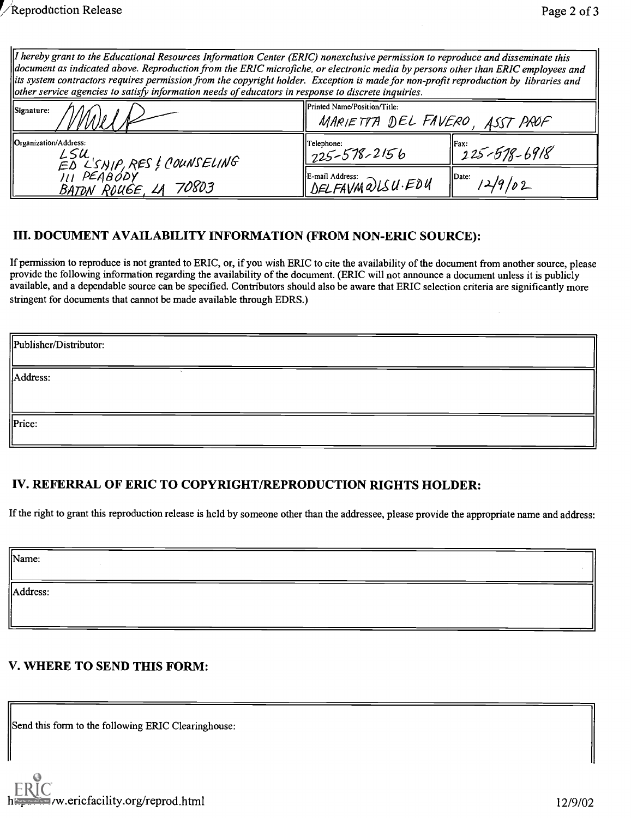| $\mu$ hereby grant to the Educational Resources Information Center (ERIC) nonexclusive permission to reproduce and disseminate this   |                                                                                                                                              |  |  |  |
|---------------------------------------------------------------------------------------------------------------------------------------|----------------------------------------------------------------------------------------------------------------------------------------------|--|--|--|
|                                                                                                                                       | $\parallel$ document as indicated above. Reproduction from the ERIC microfiche, or electronic media by persons other than ERIC employees and |  |  |  |
| lits system contractors requires permission from the copyright holder. Exception is made for non-profit reproduction by libraries and |                                                                                                                                              |  |  |  |
| other service agencies to satisfy information needs of educators in response to discrete inquiries.                                   |                                                                                                                                              |  |  |  |
| 1e:                                                                                                                                   | <b>IPrinted Name/Position/Title:</b>                                                                                                         |  |  |  |

| $\parallel$ other service agencies to satisfy information needs of educators in response to discrete inquiries.<br>Signature: | <b>IPrinted Name/Position/Title:</b>            |                            |  |
|-------------------------------------------------------------------------------------------------------------------------------|-------------------------------------------------|----------------------------|--|
|                                                                                                                               | MARIETTA DEL FAVERO, ASST PROF                  |                            |  |
| Organization/Address:<br>LSU<br>ED L'SNIP, RES ! COUNSELING<br>ILL PEABODY                                                    | Telephone:<br>$1225 - 578 - 2156$               | Fax:<br>$225 - 578 - 6918$ |  |
| <u>BATON ROUGE,</u> LA 70803                                                                                                  | $\parallel$ E-mail Address:<br>DELFAVM QUSU·EDU | $II$ Date:<br>12/9/02      |  |

# III. DOCUMENT AVAILABILITY INFORMATION (FROM NON-ERIC SOURCE):

If permission to reproduce is not granted to ERIC, or, if you wish ERIC to cite the availability of the document from another source, please provide the following information regarding the availability of the document. (ERIC will not announce a document unless it is publicly available, and a dependable source can be specified. Contributors should also be aware that ERIC selection criteria are significantly more stringent for documents that cannot be made available through EDRS.)

| Publisher/Distributor: |  |
|------------------------|--|
| Address:               |  |
| Price:                 |  |

# IV. REFERRAL OF ERIC TO COPYRIGHT/REPRODUCTION RIGHTS HOLDER:

If the right to grant this reproduction release is held by someone other than the addressee, please provide the appropriate name and address:

Name:

Address:

# V. WHERE TO SEND THIS FORM:

Send this form to the following ERIC Clearinghouse: